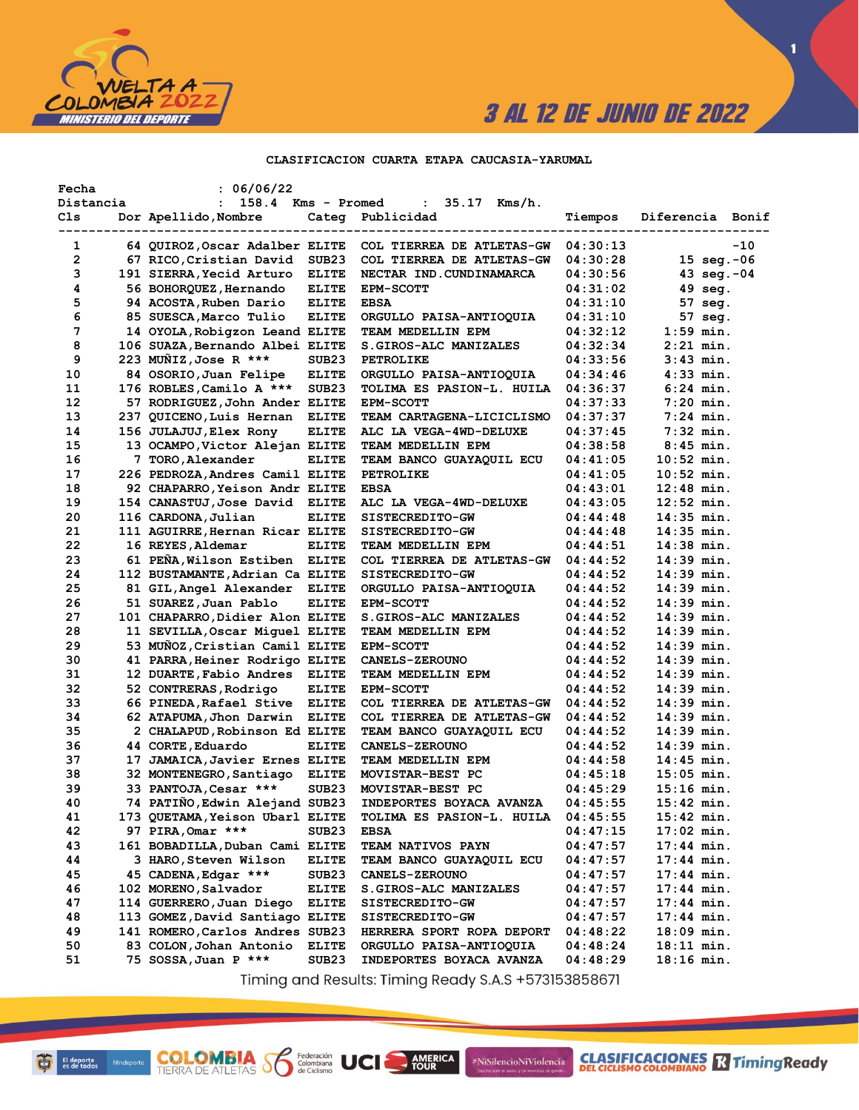

**1**

#### **CLASIFICACION CUARTA ETAPA CAUCASIA-YARUMAL**

| Fecha     | : 06/06/22                      |                        |                                 |          |                       |       |
|-----------|---------------------------------|------------------------|---------------------------------|----------|-----------------------|-------|
| Distancia | : 158.4                         | Kms - Promed           | $35.17$ Kms/h.<br>$\mathbf{L}$  |          |                       |       |
| Cls       | Dor Apellido, Nombre            | Categ<br>------------- | Publicidad                      | Tiempos  | Diferencia Bonif      |       |
| 1         | 64 QUIROZ, Oscar Adalber ELITE  |                        | COL TIERREA DE ATLETAS-GW       | 04:30:13 |                       | $-10$ |
| 2         | 67 RICO, Cristian David         | SUB <sub>23</sub>      | COL TIERREA DE ATLETAS-GW       | 04:30:28 | $15 \text{ seg.} -06$ |       |
| з         | 191 SIERRA, Yecid Arturo        | <b>ELITE</b>           | NECTAR IND. CUNDINAMARCA        | 04:30:56 | 43 $seq. -04$         |       |
| 4         | 56 BOHORQUEZ,Hernando           | <b>ELITE</b>           | <b>EPM-SCOTT</b>                | 04:31:02 | $49$ seq.             |       |
| 5         | 94 ACOSTA, Ruben Dario          | <b>ELITE</b>           | <b>EBSA</b>                     | 04:31:10 | 57 seg.               |       |
| 6         | 85 SUESCA, Marco Tulio          | <b>ELITE</b>           | ORGULLO PAISA-ANTIOQUIA         | 04:31:10 | 57 seg.               |       |
| 7         | 14 OYOLA, Robigzon Leand ELITE  |                        | TEAM MEDELLIN EPM               | 04:32:12 | $1:59$ min.           |       |
| 8         | 106 SUAZA, Bernando Albei ELITE |                        | S.GIROS-ALC MANIZALES           | 04:32:34 | $2:21$ min.           |       |
| 9         | 223 MUÑIZ, Jose R ***           | SUB <sub>23</sub>      | <b>PETROLIKE</b>                | 04:33:56 | $3:43$ min.           |       |
| 10        | 84 OSORIO, Juan Felipe          | <b>ELITE</b>           | ORGULLO PAISA-ANTIOQUIA         | 04:34:46 | $4:33$ min.           |       |
| 11        | 176 ROBLES, Camilo A ***        | SUB <sub>23</sub>      | TOLIMA ES PASION-L. HUILA       | 04:36:37 | $6:24$ min.           |       |
| 12        | 57 RODRIGUEZ, John Ander ELITE  |                        | <b>EPM-SCOTT</b>                | 04:37:33 | $7:20$ min.           |       |
| 13        | 237 QUICENO, Luis Hernan        | <b>ELITE</b>           | TEAM CARTAGENA-LICICLISMO       | 04:37:37 | $7:24$ min.           |       |
| 14        | 156 JULAJUJ, Elex Rony          | <b>ELITE</b>           | <b>ALC LA VEGA-4WD-DELUXE</b>   | 04:37:45 | $7:32$ min.           |       |
| 15        | 13 OCAMPO, Victor Alejan ELITE  |                        | TEAM MEDELLIN EPM               | 04:38:58 | $8:45$ min.           |       |
| 16        | 7 TORO, Alexander               | <b>ELITE</b>           | TEAM BANCO GUAYAQUIL ECU        | 04:41:05 | $10:52$ min.          |       |
| 17        | 226 PEDROZA, Andres Camil ELITE |                        | <b>PETROLIKE</b>                | 04:41:05 | $10:52$ min.          |       |
| 18        | 92 CHAPARRO, Yeison Andr ELITE  |                        | <b>EBSA</b>                     | 04:43:01 | 12:48 min.            |       |
| 19        | 154 CANASTUJ, Jose David ELITE  |                        | ALC LA VEGA-4WD-DELUXE          | 04:43:05 | 12:52 min.            |       |
| 20        | 116 CARDONA, Julian             | <b>ELITE</b>           | SISTECREDITO-GW                 | 04:44:48 | 14:35 min.            |       |
| 21        | 111 AGUIRRE, Hernan Ricar ELITE |                        | SISTECREDITO-GW                 | 04:44:48 | $14:35$ min.          |       |
| 22        | 16 REYES, Aldemar               | <b>ELITE</b>           | TEAM MEDELLIN EPM               | 04:44:51 | 14:38 min.            |       |
| 23        | 61 PEÑA, Wilson Estiben ELITE   |                        | COL TIERREA DE ATLETAS-GW       | 04:44:52 | $14:39$ min.          |       |
| 24        | 112 BUSTAMANTE, Adrian Ca ELITE |                        | SISTECREDITO-GW                 | 04:44:52 | $14:39$ min.          |       |
| 25        | 81 GIL, Angel Alexander         | <b>ELITE</b>           | ORGULLO PAISA-ANTIOQUIA         | 04:44:52 | 14:39 min.            |       |
| 26        | 51 SUAREZ, Juan Pablo           | <b>ELITE</b>           | <b>EPM-SCOTT</b>                | 04:44:52 | 14:39 min.            |       |
| 27        | 101 CHAPARRO, Didier Alon ELITE |                        | S.GIROS-ALC MANIZALES           | 04:44:52 | 14:39 min.            |       |
| 28        | 11 SEVILLA, Oscar Miquel ELITE  |                        | TEAM MEDELLIN EPM               | 04:44:52 | 14:39 min.            |       |
| 29        | 53 MUÑOZ, Cristian Camil ELITE  |                        | <b>EPM-SCOTT</b>                | 04:44:52 | 14:39 min.            |       |
| 30        | 41 PARRA, Heiner Rodrigo ELITE  |                        | <b>CANELS-ZEROUNO</b>           | 04:44:52 | 14:39 min.            |       |
| 31        | 12 DUARTE, Fabio Andres         | <b>ELITE</b>           | TEAM MEDELLIN EPM               | 04:44:52 | 14:39 min.            |       |
| 32        | 52 CONTRERAS, Rodrigo           | <b>ELITE</b>           | <b>EPM-SCOTT</b>                | 04:44:52 | 14:39 min.            |       |
| 33        | 66 PINEDA,Rafael Stive          | <b>ELITE</b>           | COL TIERREA DE ATLETAS-GW       | 04:44:52 | 14:39 min.            |       |
| 34        | 62 ATAPUMA, Jhon Darwin         | <b>ELITE</b>           | COL TIERREA DE ATLETAS-GW       | 04:44:52 | 14:39 min.            |       |
| 35        | 2 CHALAPUD, Robinson Ed ELITE   |                        | TEAM BANCO GUAYAQUIL ECU        | 04:44:52 | 14:39 min.            |       |
| 36        | 44 CORTE, Eduardo               | <b>ELITE</b>           | <b>CANELS-ZEROUNO</b>           | 04:44:52 | 14:39 min.            |       |
| 37        | 17 JAMAICA, Javier Ernes ELITE  |                        | TEAM MEDELLIN EPM               | 04:44:58 | $14:45$ min.          |       |
| 38        | 32 MONTENEGRO, Santiago         | <b>ELITE</b>           | MOVISTAR-BEST PC                | 04:45:18 | $15:05$ min.          |       |
| 39        | 33 PANTOJA, Cesar ***           | SUB <sub>23</sub>      | MOVISTAR-BEST PC                | 04:45:29 | 15:16 min.            |       |
| 40        | 74 PATIÑO, Edwin Alejand SUB23  |                        | INDEPORTES BOYACA AVANZA        | 04:45:55 | 15:42 min.            |       |
| 41        | 173 QUETAMA, Yeison Ubarl ELITE |                        | TOLIMA ES PASION-L. HUILA       | 04:45:55 | $15:42$ min.          |       |
| 42        | 97 PIRA, Omar ***               | SUB23                  |                                 | 04:47:15 | 17:02 min.            |       |
| 43        |                                 |                        | <b>EBSA</b>                     | 04:47:57 |                       |       |
| 44        | 161 BOBADILLA, Duban Cami ELITE |                        | TEAM NATIVOS PAYN               |          | 17:44 min.            |       |
| 45        | 3 HARO,Steven Wilson            | <b>ELITE</b>           | <b>TEAM BANCO GUAYAQUIL ECU</b> | 04:47:57 | 17:44 min.            |       |
|           | 45 CADENA, Edgar ***            | SUB <sub>23</sub>      | <b>CANELS-ZEROUNO</b>           | 04:47:57 | 17:44 min.            |       |
| 46        | 102 MORENO, Salvador            | <b>ELITE</b>           | S.GIROS-ALC MANIZALES           | 04:47:57 | 17:44 min.            |       |
| 47        | 114 GUERRERO, Juan Diego        | <b>ELITE</b>           | SISTECREDITO-GW                 | 04:47:57 | 17:44 min.            |       |
| 48        | 113 GOMEZ, David Santiago ELITE |                        | SISTECREDITO-GW                 | 04:47:57 | 17:44 min.            |       |
| 49        | 141 ROMERO, Carlos Andres SUB23 |                        | HERRERA SPORT ROPA DEPORT       | 04:48:22 | $18:09$ min.          |       |
| 50        | 83 COLON, Johan Antonio         | <b>ELITE</b>           | ORGULLO PAISA-ANTIOQUIA         | 04:48:24 | 18:11 min.            |       |
| 51        | 75 SOSSA, Juan P ***            | SUB23                  | INDEPORTES BOYACA AVANZA        | 04:48:29 | 18:16 min.            |       |

Timing and Results: Timing Ready S.A.S +573153858671

AMERICA

#NiSilencioNiViolencia

**COLOMBIA Se Ederación** UCI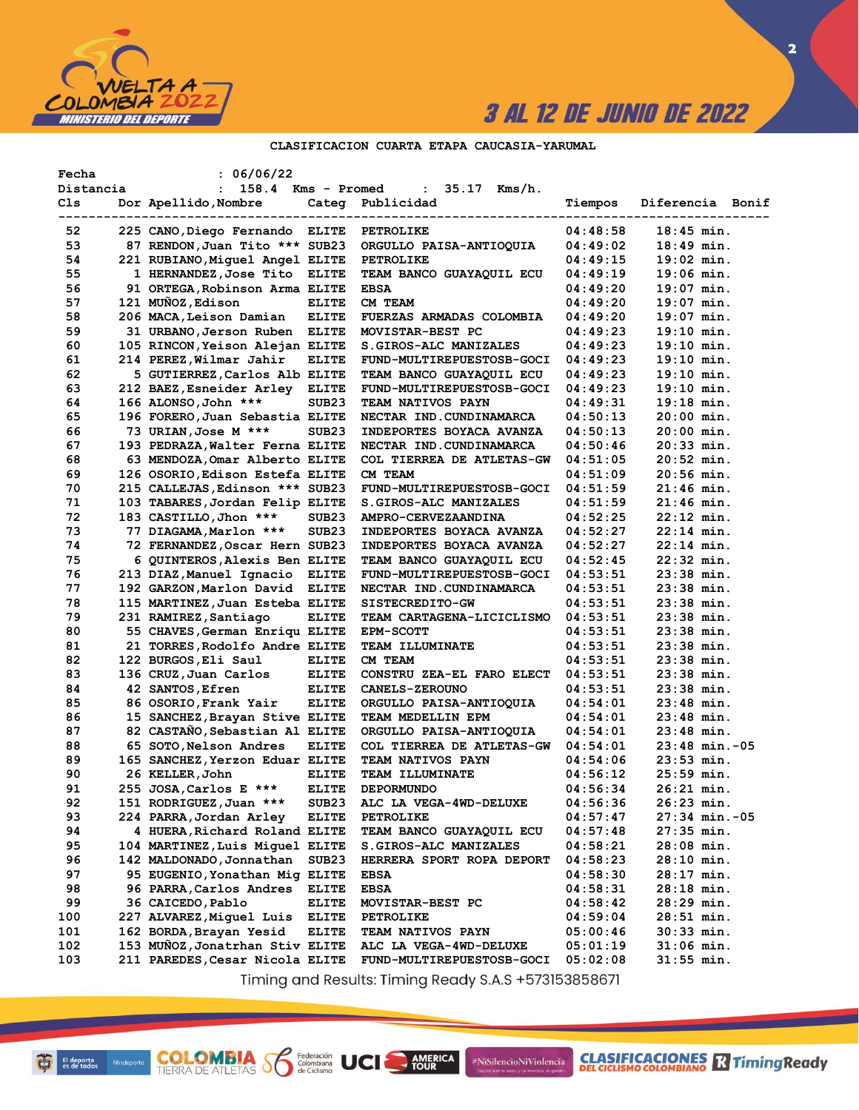

**2**

### **CLASIFICACION CUARTA ETAPA CAUCASIA-YARUMAL**

| Fecha<br>Distancia | : 06/06/22<br>158.4 Kms - Promed<br>$\mathbf{L}$ |                   | 35.17 Kms/h.<br>$\sim 100$ |          |                                                |
|--------------------|--------------------------------------------------|-------------------|----------------------------|----------|------------------------------------------------|
| Cls                | Dor Apellido, Nombre                             |                   | Categ Publicidad           | Tiempos  | Diferencia Bonif                               |
| 52                 | 225 CANO, Diego Fernando ELITE                   |                   | <b>PETROLIKE</b>           | 04:48:58 | ------------------------------<br>$18:45$ min. |
| 53                 | 87 RENDON, Juan Tito *** SUB23                   |                   | ORGULLO PAISA-ANTIOQUIA    | 04:49:02 | $18:49$ min.                                   |
| 54                 | 221 RUBIANO, Miquel Angel ELITE                  |                   | PETROLIKE                  | 04:49:15 | $19:02$ min.                                   |
| 55                 | 1 HERNANDEZ, Jose Tito ELITE                     |                   | TEAM BANCO GUAYAQUIL ECU   | 04:49:19 | $19:06$ min.                                   |
| 56                 | 91 ORTEGA, Robinson Arma ELITE                   |                   | <b>EBSA</b>                | 04:49:20 | $19:07$ min.                                   |
| 57                 | 121 MUÑOZ, Edison                                | <b>ELITE</b>      | CM TEAM                    | 04:49:20 | $19:07$ min.                                   |
| 58                 | 206 MACA, Leison Damian                          | <b>ELITE</b>      | FUERZAS ARMADAS COLOMBIA   | 04:49:20 | $19:07$ min.                                   |
| 59                 | 31 URBANO, Jerson Ruben ELITE                    |                   | MOVISTAR-BEST PC           | 04:49:23 | $19:10$ min.                                   |
| 60                 | 105 RINCON, Yeison Alejan ELITE                  |                   | S.GIROS-ALC MANIZALES      | 04:49:23 | $19:10$ min.                                   |
| 61                 | 214 PEREZ, Wilmar Jahir                          | <b>ELITE</b>      | FUND-MULTIREPUESTOSB-GOCI  | 04:49:23 | $19:10$ min.                                   |
| 62                 | 5 GUTIERREZ, Carlos Alb ELITE                    |                   | TEAM BANCO GUAYAQUIL ECU   | 04:49:23 | $19:10$ min.                                   |
| 63                 | 212 BAEZ, Esneider Arley ELITE                   |                   | FUND-MULTIREPUESTOSB-GOCI  | 04:49:23 | $19:10$ min.                                   |
| 64                 | 166 ALONSO, John ***                             | SUB <sub>23</sub> | TEAM NATIVOS PAYN          | 04:49:31 | $19:18$ min.                                   |
| 65                 | 196 FORERO, Juan Sebastia ELITE                  |                   | NECTAR IND.CUNDINAMARCA    | 04:50:13 | $20:00$ min.                                   |
| 66                 | 73 URIAN, Jose M ***                             | SUB <sub>23</sub> | INDEPORTES BOYACA AVANZA   | 04:50:13 | $20:00$ min.                                   |
| 67                 | 193 PEDRAZA, Walter Ferna ELITE                  |                   | NECTAR IND.CUNDINAMARCA    | 04:50:46 | $20:33$ min.                                   |
| 68                 | 63 MENDOZA, Omar Alberto ELITE                   |                   | COL TIERREA DE ATLETAS-GW  | 04:51:05 | $20:52$ min.                                   |
| 69                 | 126 OSORIO, Edison Estefa ELITE                  |                   | CM TEAM                    | 04:51:09 | $20:56$ min.                                   |
| 70                 | 215 CALLEJAS, Edinson *** SUB23                  |                   | FUND-MULTIREPUESTOSB-GOCI  | 04:51:59 | $21:46$ min.                                   |
| 71                 | 103 TABARES, Jordan Felip ELITE                  |                   | S.GIROS-ALC MANIZALES      | 04:51:59 | $21:46$ min.                                   |
| 72                 | 183 CASTILLO, Jhon ***                           | SUB <sub>23</sub> | <b>AMPRO-CERVEZAANDINA</b> | 04:52:25 | $22:12$ min.                                   |
| 73                 | 77 DIAGAMA,Marlon ***                            | SUB <sub>23</sub> | INDEPORTES BOYACA AVANZA   | 04:52:27 | $22:14$ min.                                   |
| 74                 | 72 FERNANDEZ, Oscar Hern SUB23                   |                   | INDEPORTES BOYACA AVANZA   | 04:52:27 | $22:14$ min.                                   |
| 75                 | 6 QUINTEROS, Alexis Ben ELITE                    |                   | TEAM BANCO GUAYAQUIL ECU   | 04:52:45 | $22:32$ min.                                   |
| 76                 | 213 DIAZ, Manuel Ignacio ELITE                   |                   | FUND-MULTIREPUESTOSB-GOCI  | 04:53:51 | $23:38$ min.                                   |
| 77                 | 192 GARZON, Marlon David ELITE                   |                   | NECTAR IND.CUNDINAMARCA    | 04:53:51 | $23:38$ min.                                   |
| 78                 | 115 MARTINEZ, Juan Esteba ELITE                  |                   | SISTECREDITO-GW            | 04:53:51 | $23:38$ min.                                   |
| 79                 | 231 RAMIREZ, Santiago                            | <b>ELITE</b>      | TEAM CARTAGENA-LICICLISMO  | 04:53:51 | $23:38$ min.                                   |
| 80                 | 55 CHAVES, German Enriqu ELITE                   |                   | <b>EPM-SCOTT</b>           | 04:53:51 | $23:38$ min.                                   |
| 81                 | 21 TORRES, Rodolfo Andre ELITE                   |                   | <b>TEAM ILLUMINATE</b>     | 04:53:51 | $23:38$ min.                                   |
| 82                 | 122 BURGOS, Eli Saul                             | <b>ELITE</b>      | CM TEAM                    | 04:53:51 | $23:38$ min.                                   |
| 83                 | 136 CRUZ, Juan Carlos                            | <b>ELITE</b>      | CONSTRU ZEA-EL FARO ELECT  | 04:53:51 | $23:38$ min.                                   |
| 84                 | 42 SANTOS, Efren                                 | <b>ELITE</b>      | <b>CANELS-ZEROUNO</b>      | 04:53:51 | $23:38$ min.                                   |
| 85                 | 86 OSORIO, Frank Yair                            | <b>ELITE</b>      | ORGULLO PAISA-ANTIOQUIA    | 04:54:01 | $23:48$ min.                                   |
| 86                 | 15 SANCHEZ, Brayan Stive ELITE                   |                   | TEAM MEDELLIN EPM          | 04:54:01 | $23:48$ min.                                   |
| 87                 | 82 CASTANO, Sebastian Al ELITE                   |                   | ORGULLO PAISA-ANTIOQUIA    | 04:54:01 | $23:48$ min.                                   |
| 88                 | 65 SOTO, Nelson Andres                           | <b>ELITE</b>      | COL TIERREA DE ATLETAS-GW  | 04:54:01 | $23:48$ min.-05                                |
| 89                 | 165 SANCHEZ, Yerzon Eduar ELITE                  |                   | TEAM NATIVOS PAYN          | 04:54:06 | $23:53$ min.                                   |
| 90                 | 26 KELLER, John                                  | <b>ELITE</b>      | TEAM ILLUMINATE            | 04:56:12 | $25:59$ min.                                   |
| 91                 | 255 JOSA, Carlos E ***                           | <b>ELITE</b>      | DEPORMUNDO                 | 04:56:34 | $26:21$ min.                                   |
| 92                 | 151 RODRIGUEZ, Juan ***                          | SUB <sub>23</sub> | ALC LA VEGA-4WD-DELUXE     | 04:56:36 | 26:23 min.                                     |
| 93                 | 224 PARRA, Jordan Arley                          | <b>ELITE</b>      | PETROLIKE                  | 04:57:47 | $27:34$ min. $-05$                             |
| 94                 | 4 HUERA, Richard Roland ELITE                    |                   | TEAM BANCO GUAYAQUIL ECU   | 04:57:48 | $27:35$ min.                                   |
| 95                 | 104 MARTINEZ, Luis Miquel ELITE                  |                   | S.GIROS-ALC MANIZALES      | 04:58:21 | $28:08$ min.                                   |
| 96                 | 142 MALDONADO, Jonnathan                         | SUB <sub>23</sub> | HERRERA SPORT ROPA DEPORT  | 04:58:23 | $28:10$ min.                                   |
| 97                 | 95 EUGENIO, Yonathan Mig ELITE                   |                   | EBSA                       | 04:58:30 | 28:17 min.                                     |
| 98                 | 96 PARRA, Carlos Andres                          | <b>ELITE</b>      | <b>EBSA</b>                | 04:58:31 | $28:18$ min.                                   |
| 99                 | 36 CAICEDO, Pablo                                | <b>ELITE</b>      | MOVISTAR-BEST PC           | 04:58:42 | $28:29$ min.                                   |
| 100                | 227 ALVAREZ, Miguel Luis                         | <b>ELITE</b>      | <b>PETROLIKE</b>           | 04:59:04 | $28:51$ min.                                   |
| 101                | 162 BORDA, Brayan Yesid                          | <b>ELITE</b>      | <b>TEAM NATIVOS PAYN</b>   | 05:00:46 | $30:33$ min.                                   |
| 102                | 153 MUÑOZ, Jonatrhan Stiv ELITE                  |                   | ALC LA VEGA-4WD-DELUXE     | 05:01:19 | $31:06$ min.                                   |
| 103                | 211 PAREDES, Cesar Nicola ELITE                  |                   | FUND-MULTIREPUESTOSB-GOCI  | 05:02:08 | 31:55 min.                                     |

Timing and Results: Timing Ready S.A.S +573153858671

AMERICA

#NiSilencioNiViolencia

**COLOMBIA S** 

Federación<br>Colombiana<br>de Ciclismo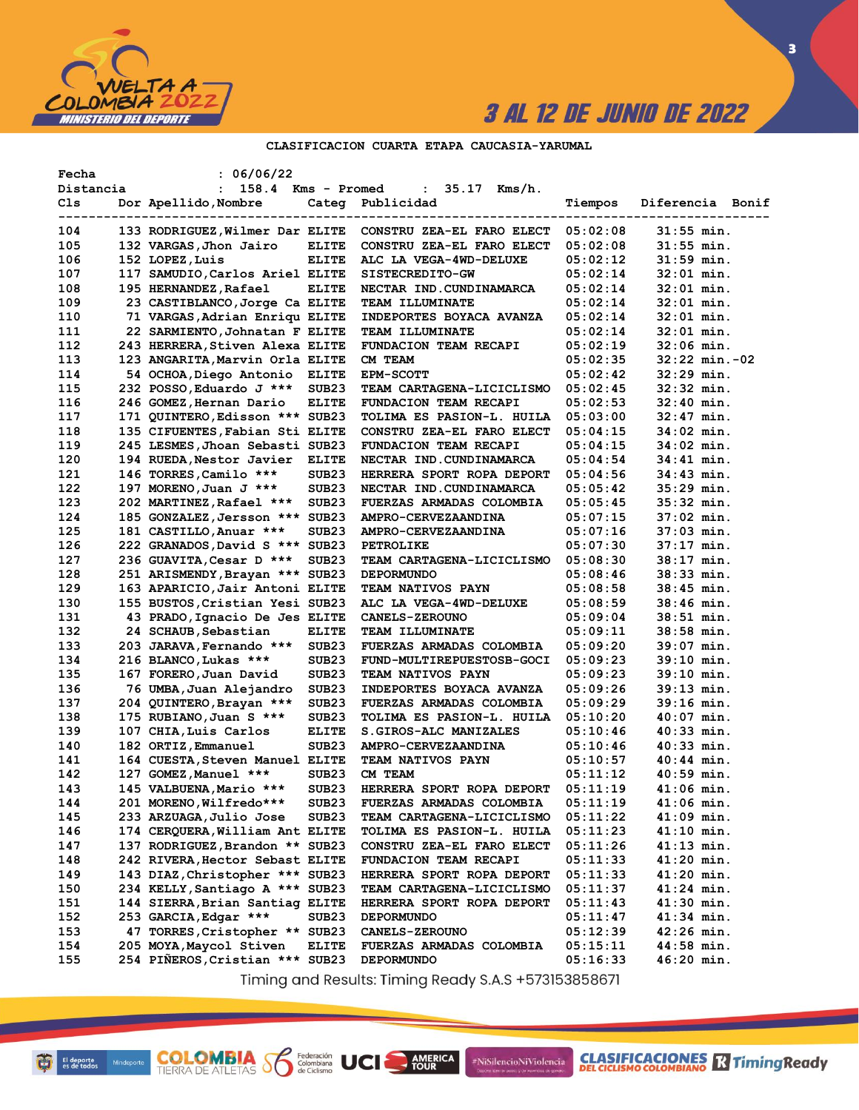

**CLASIFICACIONES** TimingReady

**3**

### **CLASIFICACION CUARTA ETAPA CAUCASIA-YARUMAL**

| Fecha     | : 06/06/22                         |                   |                                 |          |                                   |
|-----------|------------------------------------|-------------------|---------------------------------|----------|-----------------------------------|
| Distancia | 158.4 Kms - Promed<br>$\mathbf{L}$ |                   | : 35.17 Kms/h.                  |          |                                   |
| Cls       | Dor Apellido, Nombre               |                   | Categ Publicidad                | Tiempos  | Diferencia Bonif                  |
|           |                                    |                   |                                 |          | --------------------------------- |
| 104       | 133 RODRIGUEZ, Wilmer Dar ELITE    |                   | CONSTRU ZEA-EL FARO ELECT       | 05:02:08 | $31:55$ min.                      |
| 105       | 132 VARGAS, Jhon Jairo             | <b>ELITE</b>      | CONSTRU ZEA-EL FARO ELECT       | 05:02:08 | $31:55$ min.                      |
| 106       | 152 LOPEZ, Luis                    | <b>ELITE</b>      | ALC LA VEGA-4WD-DELUXE          | 05:02:12 | 31:59 min.                        |
| 107       | 117 SAMUDIO, Carlos Ariel ELITE    |                   | SISTECREDITO-GW                 | 05:02:14 | $32:01$ min.                      |
| 108       | 195 HERNANDEZ, Rafael              | <b>ELITE</b>      | NECTAR IND.CUNDINAMARCA         | 05:02:14 | 32:01 min.                        |
| 109       | 23 CASTIBLANCO, Jorge Ca ELITE     |                   | <b>TEAM ILLUMINATE</b>          | 05:02:14 | 32:01 min.                        |
| 110       | 71 VARGAS, Adrian Enriqu ELITE     |                   | INDEPORTES BOYACA AVANZA        | 05:02:14 | $32:01$ min.                      |
| 111       | 22 SARMIENTO, Johnatan F ELITE     |                   | <b>TEAM ILLUMINATE</b>          | 05:02:14 | $32:01$ min.                      |
| 112       | 243 HERRERA, Stiven Alexa ELITE    |                   | <b>FUNDACION TEAM RECAPI</b>    | 05:02:19 | $32:06$ min.                      |
| 113       | 123 ANGARITA, Marvin Orla ELITE    |                   | CM TEAM                         | 05:02:35 | $32:22$ min. $-02$                |
| 114       | 54 OCHOA, Diego Antonio ELITE      |                   | <b>EPM-SCOTT</b>                | 05:02:42 | 32:29 min.                        |
| 115       | 232 POSSO, Eduardo J ***           | SUB <sub>23</sub> | TEAM CARTAGENA-LICICLISMO       | 05:02:45 | 32:32 min.                        |
| 116       | 246 GOMEZ, Hernan Dario            | <b>ELITE</b>      | <b>FUNDACION TEAM RECAPI</b>    | 05:02:53 | 32:40 min.                        |
| 117       | 171 QUINTERO, Edisson *** SUB23    |                   | TOLIMA ES PASION-L. HUILA       | 05:03:00 | 32:47 min.                        |
| 118       | 135 CIFUENTES, Fabian Sti ELITE    |                   | CONSTRU ZEA-EL FARO ELECT       | 05:04:15 | 34:02 min.                        |
| 119       | 245 LESMES, Jhoan Sebasti SUB23    |                   | FUNDACION TEAM RECAPI           | 05:04:15 | 34:02 min.                        |
| 120       | 194 RUEDA, Nestor Javier           | <b>ELITE</b>      | NECTAR IND. CUNDINAMARCA        | 05:04:54 | $34:41$ min.                      |
| 121       | 146 TORRES, Camilo ***             | SUB <sub>23</sub> | HERRERA SPORT ROPA DEPORT       | 05:04:56 | $34:43$ min.                      |
| 122       | 197 MORENO, Juan J ***             | SUB <sub>23</sub> | NECTAR IND. CUNDINAMARCA        | 05:05:42 | $35:29$ min.                      |
| 123       | 202 MARTINEZ, Rafael ***           | SUB <sub>23</sub> | <b>FUERZAS ARMADAS COLOMBIA</b> | 05:05:45 | 35:32 min.                        |
| 124       | 185 GONZALEZ, Jersson *** SUB23    |                   | AMPRO-CERVEZAANDINA             | 05:07:15 | 37:02 min.                        |
| 125       | 181 CASTILLO, Anuar ***            | SUB <sub>23</sub> | AMPRO-CERVEZAANDINA             | 05:07:16 | $37:03$ min.                      |
| 126       | 222 GRANADOS, David S *** SUB23    |                   | <b>PETROLIKE</b>                | 05:07:30 | 37:17 min.                        |
| 127       | 236 GUAVITA, Cesar D ***           | SUB <sub>23</sub> | TEAM CARTAGENA-LICICLISMO       | 05:08:30 | 38:17 min.                        |
| 128       | 251 ARISMENDY, Brayan *** SUB23    |                   | <b>DEPORMUNDO</b>               | 05:08:46 | 38:33 min.                        |
| 129       | 163 APARICIO, Jair Antoni ELITE    |                   | <b>TEAM NATIVOS PAYN</b>        | 05:08:58 | 38:45 min.                        |
| 130       | 155 BUSTOS, Cristian Yesi SUB23    |                   | ALC LA VEGA-4WD-DELUXE          | 05:08:59 | 38:46 min.                        |
| 131       |                                    |                   |                                 |          | 38:51 min.                        |
|           | 43 PRADO, Ignacio De Jes ELITE     |                   | <b>CANELS-ZEROUNO</b>           | 05:09:04 |                                   |
| 132       | 24 SCHAUB, Sebastian               | <b>ELITE</b>      | <b>TEAM ILLUMINATE</b>          | 05:09:11 | 38:58 min.<br>39:07 min.          |
| 133       | 203 JARAVA, Fernando ***           | SUB <sub>23</sub> | <b>FUERZAS ARMADAS COLOMBIA</b> | 05:09:20 | $39:10$ min.                      |
| 134       | 216 BLANCO, Lukas ***              | SUB <sub>23</sub> | FUND-MULTIREPUESTOSB-GOCI       | 05:09:23 |                                   |
| 135       | 167 FORERO, Juan David             | SUB <sub>23</sub> | <b>TEAM NATIVOS PAYN</b>        | 05:09:23 | 39:10 min.                        |
| 136       | 76 UMBA, Juan Alejandro            | SUB <sub>23</sub> | INDEPORTES BOYACA AVANZA        | 05:09:26 | 39:13 min.                        |
| 137       | 204 QUINTERO, Brayan ***           | SUB <sub>23</sub> | FUERZAS ARMADAS COLOMBIA        | 05:09:29 | 39:16 min.                        |
| 138       | 175 RUBIANO, Juan S ***            | SUB <sub>23</sub> | TOLIMA ES PASION-L. HUILA       | 05:10:20 | $40:07$ min.                      |
| 139       | 107 CHIA, Luis Carlos              | <b>ELITE</b>      | S. GIROS-ALC MANIZALES          | 05:10:46 | 40:33 min.                        |
| 140       | 182 ORTIZ, Emmanuel                | SUB <sub>23</sub> | AMPRO-CERVEZAANDINA             | 05:10:46 | 40:33 min.                        |
| 141       | 164 CUESTA, Steven Manuel ELITE    |                   | <b>TEAM NATIVOS PAYN</b>        | 05:10:57 | $40:44$ min.                      |
| 142       | 127 GOMEZ, Manuel ***              | SUB <sub>23</sub> | CM TEAM                         | 05:11:12 | $40:59$ min.                      |
| 143       | 145 VALBUENA, Mario ***            | SUB23             | HERRERA SPORT ROPA DEPORT       | 05:11:19 | $41:06$ min.                      |
| 144       | 201 MORENO, Wilfredo***            | SUB <sub>23</sub> | <b>FUERZAS ARMADAS COLOMBIA</b> | 05:11:19 | 41:06 min.                        |
| 145       | 233 ARZUAGA, Julio Jose            | SUB23             | TEAM CARTAGENA-LICICLISMO       | 05:11:22 | $41:09$ min.                      |
| 146       | 174 CERQUERA, William Ant ELITE    |                   | TOLIMA ES PASION-L. HUILA       | 05:11:23 | $41:10$ min.                      |
| 147       | 137 RODRIGUEZ, Brandon ** SUB23    |                   | CONSTRU ZEA-EL FARO ELECT       | 05:11:26 | $41:13$ min.                      |
| 148       | 242 RIVERA, Hector Sebast ELITE    |                   | <b>FUNDACION TEAM RECAPI</b>    | 05:11:33 | $41:20$ min.                      |
| 149       | 143 DIAZ, Christopher *** SUB23    |                   | HERRERA SPORT ROPA DEPORT       | 05:11:33 | 41:20 min.                        |
| 150       | 234 KELLY, Santiago A *** SUB23    |                   | TEAM CARTAGENA-LICICLISMO       | 05:11:37 | 41:24 min.                        |
| 151       | 144 SIERRA, Brian Santiag ELITE    |                   | HERRERA SPORT ROPA DEPORT       | 05:11:43 | 41:30 min.                        |
| 152       | 253 GARCIA, Edgar ***              | SUB23             | <b>DEPORMUNDO</b>               | 05:11:47 | 41:34 min.                        |
| 153       | 47 TORRES, Cristopher ** SUB23     |                   | <b>CANELS-ZEROUNO</b>           | 05:12:39 | $42:26$ min.                      |
| 154       | 205 MOYA, Maycol Stiven            | <b>ELITE</b>      | FUERZAS ARMADAS COLOMBIA        | 05:15:11 | 44:58 min.                        |
| 155       | 254 PIÑEROS, Cristian *** SUB23    |                   | <b>DEPORMUNDO</b>               | 05:16:33 | $46:20$ min.                      |

Timing and Results: Timing Ready S.A.S +573153858671

AMERICA

#NiSilencioNiViolencia

**COLOMBIA S** 

Federación<br>Colombiana<br>de Ciclismo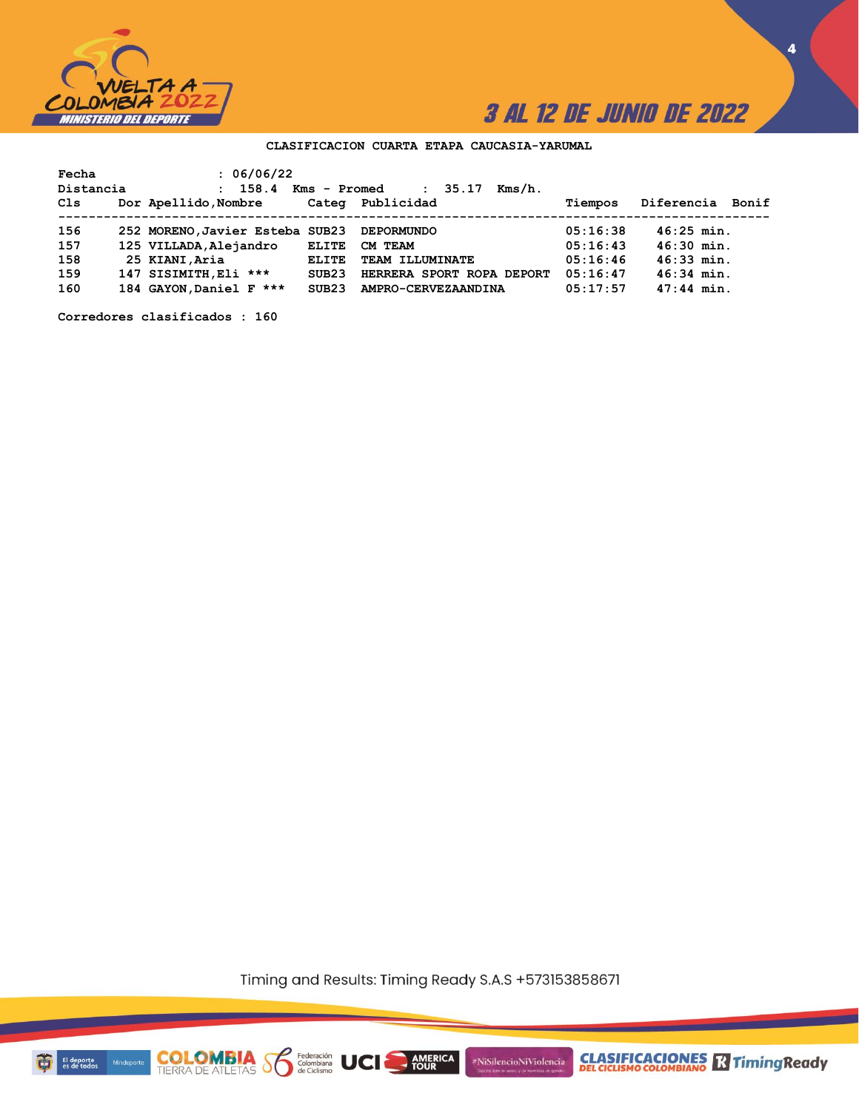

**4**

### **CLASIFICACION CUARTA ETAPA CAUCASIA-YARUMAL**

| Fecha     | : 06/06/22                      |              |                                 |          |                  |
|-----------|---------------------------------|--------------|---------------------------------|----------|------------------|
| Distancia | 158.4<br>$\mathbf{r}$           | Kms - Promed | 35.17<br>Kms/h.<br>$\mathbf{r}$ |          |                  |
| Cls       | Dor Apellido, Nombre            |              | Categ Publicidad                | Tiempos  | Diferencia Bonif |
|           |                                 |              |                                 |          |                  |
| 156       | 252 MORENO, Javier Esteba SUB23 |              | <b>DEPORMUNDO</b>               | 05:16:38 | $46:25$ min.     |
| 157       | 125 VILLADA, Alejandro          | <b>ELITE</b> | CM TEAM                         | 05:16:43 | $46:30$ min.     |
| 158       | 25 KIANI, Aria                  | <b>ELITE</b> | TEAM ILLUMINATE                 | 05:16:46 | 46:33 min.       |
| 159       | 147 SISIMITH, Eli ***           | SUB23        | HERRERA SPORT ROPA DEPORT       | 05:16:47 | $46:34$ min.     |
| 160       | 184 GAYON, Daniel F ***         | SUB23        | AMPRO-CERVEZAANDINA             | 05:17:57 | $47:44$ min.     |

**Corredores clasificados : 160**

Timing and Results: Timing Ready S.A.S +573153858671

**AMERICA** 

#NiSilencioNiViolencia

Federación<br>Colombiana<br>de Ciclismo

**COLOMBIA**<br>TIERRA DE ATLETAS

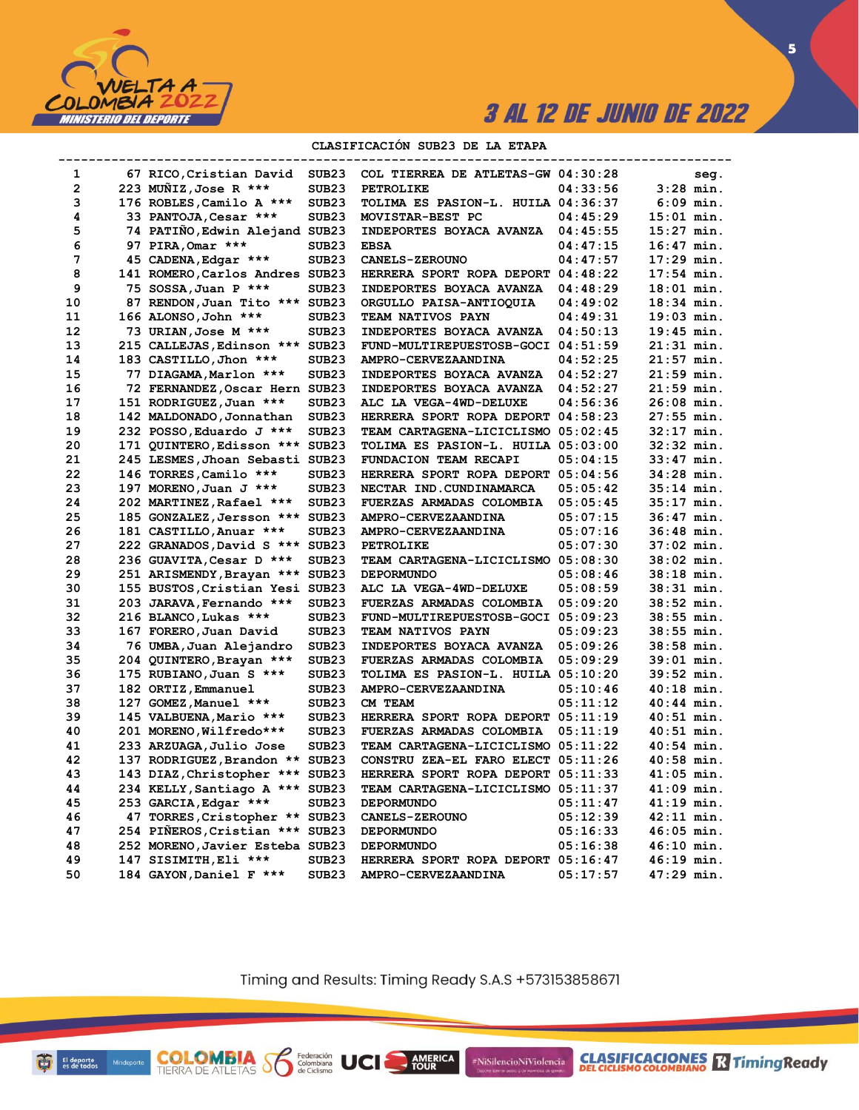

**5**

### **CLASIFICACIÓN SUB23 DE LA ETAPA**

| 1              | 67 RICO,Cristian David          | SUB <sub>23</sub> | COL TIERREA DE ATLETAS-GW 04:30:28        |          | seg.         |
|----------------|---------------------------------|-------------------|-------------------------------------------|----------|--------------|
| $\overline{2}$ | 223 MUNIZ, Jose R ***           | SUB <sub>23</sub> | PETROLIKE                                 | 04:33:56 | $3:28$ min.  |
| 3              | 176 ROBLES, Camilo A ***        | SUB <sub>23</sub> | TOLIMA ES PASION-L. HUILA 04:36:37        |          | $6:09$ min.  |
| 4              | 33 PANTOJA, Cesar ***           | SUB <sub>23</sub> | MOVISTAR-BEST PC                          | 04:45:29 | $15:01$ min. |
| 5              | 74 PATIÑO, Edwin Alejand SUB23  |                   | <b>INDEPORTES BOYACA AVANZA</b>           | 04:45:55 | $15:27$ min. |
| 6              | 97 PIRA, Omar ***               | SUB <sub>23</sub> | <b>EBSA</b>                               | 04:47:15 | $16:47$ min. |
| 7              | 45 CADENA, Edgar ***            | SUB <sub>23</sub> | <b>CANELS-ZEROUNO</b>                     | 04:47:57 | $17:29$ min. |
| 8              | 141 ROMERO, Carlos Andres SUB23 |                   | HERRERA SPORT ROPA DEPORT 04:48:22        |          | $17:54$ min. |
| 9              | 75 SOSSA, Juan P ***            | SUB <sub>23</sub> | INDEPORTES BOYACA AVANZA                  | 04:48:29 | $18:01$ min. |
| 10             | 87 RENDON, Juan Tito *** SUB23  |                   | ORGULLO PAISA-ANTIOQUIA                   | 04:49:02 | $18:34$ min. |
| 11             | 166 ALONSO, John ***            | SUB <sub>23</sub> | TEAM NATIVOS PAYN                         | 04:49:31 | $19:03$ min. |
| 12             | 73 URIAN, Jose M ***            | SUB <sub>23</sub> | INDEPORTES BOYACA AVANZA                  | 04:50:13 | 19:45 min.   |
| 13             | 215 CALLEJAS, Edinson *** SUB23 |                   | FUND-MULTIREPUESTOSB-GOCI 04:51:59        |          | 21:31 min.   |
| 14             | 183 CASTILLO, Jhon ***          | SUB <sub>23</sub> | AMPRO-CERVEZAANDINA                       | 04:52:25 | $21:57$ min. |
| 15             | 77 DIAGAMA, Marlon ***          | SUB <sub>23</sub> | INDEPORTES BOYACA AVANZA                  | 04:52:27 | 21:59 min.   |
| 16             | 72 FERNANDEZ, Oscar Hern SUB23  |                   | INDEPORTES BOYACA AVANZA                  | 04:52:27 | 21:59 min.   |
| 17             | 151 RODRIGUEZ, Juan ***         | SUB <sub>23</sub> | ALC LA VEGA-4WD-DELUXE                    | 04:56:36 | $26:08$ min. |
| 18             | 142 MALDONADO, Jonnathan        | SUB <sub>23</sub> | HERRERA SPORT ROPA DEPORT 04:58:23        |          | 27:55 min.   |
| 19             | 232 POSSO, Eduardo J ***        | SUB <sub>23</sub> | TEAM CARTAGENA-LICICLISMO 05:02:45        |          | 32:17 min.   |
| 20             | 171 QUINTERO, Edisson *** SUB23 |                   | TOLIMA ES PASION-L. HUILA 05:03:00        |          | 32:32 min.   |
| 21             | 245 LESMES, Jhoan Sebasti SUB23 |                   | FUNDACION TEAM RECAPI                     | 05:04:15 | $33:47$ min. |
| 22             | 146 TORRES, Camilo ***          | SUB <sub>23</sub> | HERRERA SPORT ROPA DEPORT 05:04:56        |          | 34:28 min.   |
| 23             | 197 MORENO, Juan J ***          | SUB <sub>23</sub> | NECTAR IND. CUNDINAMARCA                  | 05:05:42 | $35:14$ min. |
| 24             | 202 MARTINEZ, Rafael ***        | SUB <sub>23</sub> | FUERZAS ARMADAS COLOMBIA                  | 05:05:45 | 35:17 min.   |
| 25             | 185 GONZALEZ, Jersson *** SUB23 |                   | AMPRO-CERVEZAANDINA                       | 05:07:15 | $36:47$ min. |
| 26             | 181 CASTILLO, Anuar ***         | SUB <sub>23</sub> | AMPRO-CERVEZAANDINA                       | 05:07:16 | 36:48 min.   |
| 27             | 222 GRANADOS, David S *** SUB23 |                   | <b>PETROLIKE</b>                          | 05:07:30 | $37:02$ min. |
| 28             | 236 GUAVITA, Cesar D ***        | SUB <sub>23</sub> | TEAM CARTAGENA-LICICLISMO 05:08:30        |          | 38:02 min.   |
| 29             | 251 ARISMENDY, Brayan *** SUB23 |                   | <b>DEPORMUNDO</b>                         | 05:08:46 | 38:18 min.   |
| 30             | 155 BUSTOS, Cristian Yesi SUB23 |                   | ALC LA VEGA-4WD-DELUXE                    | 05:08:59 | $38:31$ min. |
| 31             | 203 JARAVA, Fernando ***        | SUB <sub>23</sub> | FUERZAS ARMADAS COLOMBIA                  | 05:09:20 | $38:52$ min. |
| 32             | 216 BLANCO, Lukas ***           | SUB <sub>23</sub> | FUND-MULTIREPUESTOSB-GOCI 05:09:23        |          | $38:55$ min. |
| 33             | 167 FORERO, Juan David          | SUB <sub>23</sub> | TEAM NATIVOS PAYN                         | 05:09:23 | $38:55$ min. |
| 34             | 76 UMBA, Juan Alejandro         | SUB <sub>23</sub> | INDEPORTES BOYACA AVANZA                  | 05:09:26 | 38:58 min.   |
| 35             | 204 QUINTERO, Brayan ***        | SUB <sub>23</sub> | FUERZAS ARMADAS COLOMBIA                  | 05:09:29 | $39:01$ min. |
| 36             | 175 RUBIANO, Juan S ***         | SUB <sub>23</sub> | TOLIMA ES PASION-L. HUILA 05:10:20        |          | 39:52 min.   |
| 37             | 182 ORTIZ, Emmanuel             | SUB <sub>23</sub> | AMPRO-CERVEZAANDINA                       | 05:10:46 | 40:18 min.   |
| 38             | 127 GOMEZ, Manuel ***           | SUB <sub>23</sub> | CM TEAM                                   | 05:11:12 | $40:44$ min. |
| 39             | 145 VALBUENA, Mario ***         | SUB <sub>23</sub> | HERRERA SPORT ROPA DEPORT 05:11:19        |          | 40:51 min.   |
| 40             | 201 MORENO, Wilfredo***         | SUB <sub>23</sub> | FUERZAS ARMADAS COLOMBIA                  | 05:11:19 | 40:51 min.   |
| 41             | 233 ARZUAGA,Julio Jose          | SUB <sub>23</sub> | TEAM CARTAGENA-LICICLISMO 05:11:22        |          | $40:54$ min. |
| 42             | 137 RODRIGUEZ, Brandon ** SUB23 |                   | CONSTRU ZEA-EL FARO ELECT 05:11:26        |          | $40:58$ min. |
| 43             | 143 DIAZ, Christopher *** SUB23 |                   | HERRERA SPORT ROPA DEPORT 05:11:33        |          | 41:05 min.   |
| 44             | 234 KELLY, Santiago A *** SUB23 |                   | <b>TEAM CARTAGENA-LICICLISMO 05:11:37</b> |          | $41:09$ min. |
| 45             | 253 GARCIA, Edgar ***           | SUB <sub>23</sub> | <b>DEPORMUNDO</b>                         | 05:11:47 | 41:19 min.   |
| 46             | 47 TORRES, Cristopher ** SUB23  |                   | <b>CANELS-ZEROUNO</b>                     | 05:12:39 | 42:11 min.   |
| 47             | 254 PIÑEROS, Cristian *** SUB23 |                   | <b>DEPORMUNDO</b>                         | 05:16:33 | $46:05$ min. |
| 48             | 252 MORENO, Javier Esteba SUB23 |                   | <b>DEPORMUNDO</b>                         | 05:16:38 | 46:10 min.   |
| 49             | 147 SISIMITH, Eli ***           | SUB <sub>23</sub> | HERRERA SPORT ROPA DEPORT 05:16:47        |          | $46:19$ min. |
| 50             | 184 GAYON, Daniel F ***         | SUB <sub>23</sub> | AMPRO-CERVEZAANDINA                       | 05:17:57 | 47:29 min.   |
|                |                                 |                   |                                           |          |              |

Timing and Results: Timing Ready S.A.S +573153858671

AMERICA<br>TOUR

UCI

#NiSilencioNiViolencia

Ð

El deporte<br>es de todos

**COLOMBIA**<br>TIERRA DE ATLETAS **S** a Ciclismo

**CLASIFICACIONES** TimingReady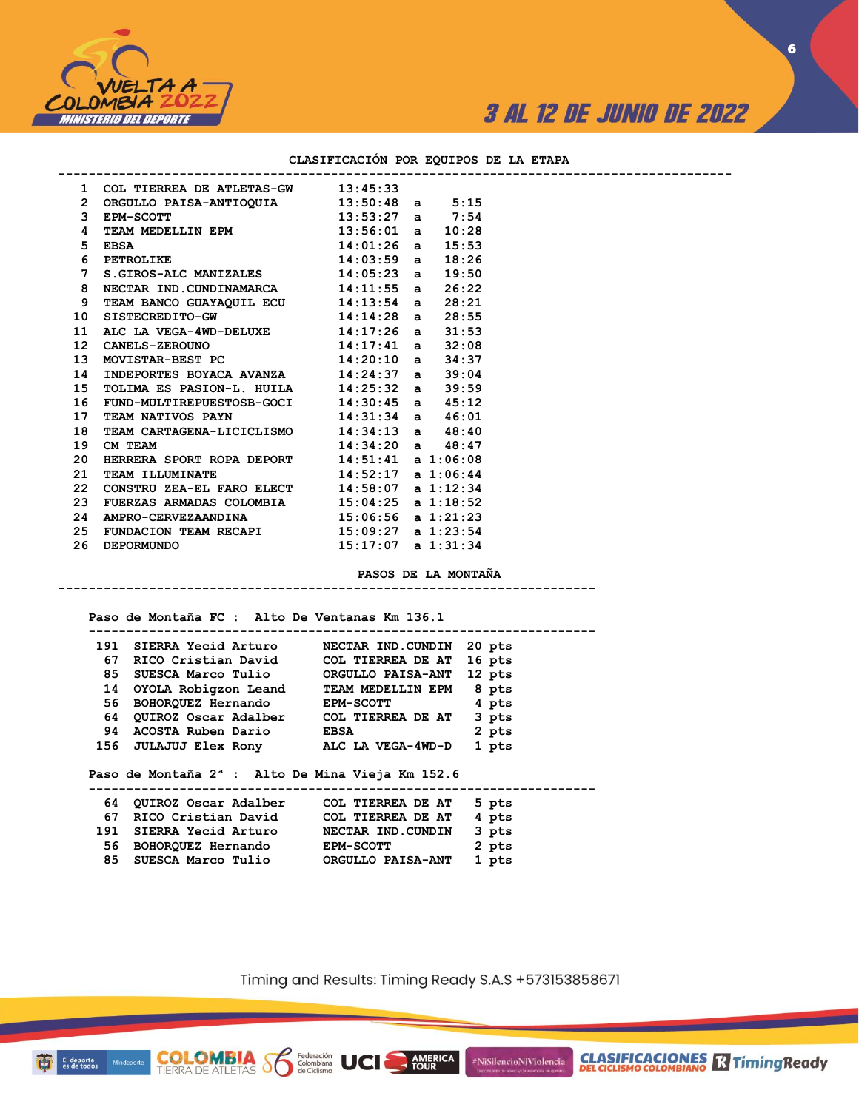

**CLASIFICACIONES R** Timing Ready

**6**

### **CLASIFICACIÓN POR EQUIPOS DE LA ETAPA**

|                | 1 COL TIERREA DE ATLETAS-GW 13:45:33                                                     |  |       |  |
|----------------|------------------------------------------------------------------------------------------|--|-------|--|
|                | 2 ORGULLO PAISA-ANTIOQUIA $13:50:48$ a $5:15$                                            |  |       |  |
| 3              | $13:53:27$ a $7:54$<br><b>EPM-SCOTT</b>                                                  |  |       |  |
| 4              | TEAM MEDELLIN EPM 13:56:01 a 10:28                                                       |  |       |  |
| 5 <sub>1</sub> |                                                                                          |  |       |  |
| 6              | EBSA<br>PETROLIKE 14:01:26 a 15:53<br>PETROLIKE 14:03:59 a 18:26<br>14:03:59 a 18:26     |  |       |  |
| $7^{\circ}$    | $S.GIROS-ALC$ MANIZALES $14:05:23$ a $19:50$                                             |  |       |  |
| 8              | NECTAR IND. CUNDINAMARCA 14:11:55 a 26:22                                                |  |       |  |
| 9              | TEAM BANCO GUAYAQUIL ECU 14:13:54 a                                                      |  | 28:21 |  |
| 10             | SISTECREDITO-GW $14:14:28$ a $28:55$                                                     |  |       |  |
|                | 11 ALC LA VEGA-4WD-DELUXE $14:17:26$ a $31:53$<br>12 CANELS-ZEROUNO $14:17:41$ a $32:08$ |  |       |  |
|                |                                                                                          |  |       |  |
| 13             | MOVISTAR-BEST PC 14:20:10 a 34:37                                                        |  |       |  |
| 14             | INDEPORTES BOYACA AVANZA 14:24:37 a                                                      |  | 39:04 |  |
| 15             | TOLIMA ES PASION-L. HUILA 14:25:32 a 39:59                                               |  |       |  |
| 16             | FUND-MULTIREPUESTOSB-GOCI $14:30:45$ a $45:12$                                           |  |       |  |
| 17             | TEAM NATIVOS PAYN 14:31:34 a 46:01                                                       |  |       |  |
| 18             | TEAM CARTAGENA-LICICLISMO 14:34:13 a 48:40                                               |  |       |  |
| 19             | $14:34:20$ a $48:47$<br>CM TEAM                                                          |  |       |  |
| 20             | HERRERA SPORT ROPA DEPORT 14:51:41 a 1:06:08                                             |  |       |  |
| 21             | TEAM ILLUMINATE 14:52:17 a 1:06:44                                                       |  |       |  |
| 22             | CONSTRU ZEA-EL FARO ELECT 14:58:07 a 1:12:34                                             |  |       |  |
| 23             | FUERZAS ARMADAS COLOMBIA $15:04:25$ a $1:18:52$                                          |  |       |  |
| 24             | AMPRO-CERVEZAANDINA 15:06:56 a 1:21:23                                                   |  |       |  |
| 25             | FUNDACION TEAM RECAPI 15:09:27 a 1:23:54                                                 |  |       |  |
| 26             | $15:17:07$ a $1:31:34$<br><b>DEPORMUNDO</b>                                              |  |       |  |

#### **PASOS DE LA MONTAÑA**

**-----------------------------------------------------------------------**

 **Paso de Montaña FC : Alto De Ventanas Km 136.1**

**COLOMBIA S6** 

El deporte<br>es de todos

Mind

Federación<br>Colombiana<br>de Ciclismo

|     | 191 SIERRA Yecid Arturo                                      | NECTAR IND.CUNDIN 20 pts |        |  |
|-----|--------------------------------------------------------------|--------------------------|--------|--|
|     | 67 RICO Cristian David                                       | COL TIERREA DE AT 16 pts |        |  |
| 85  | SUESCA Marco Tulio                                           | <b>ORGULLO PAISA-ANT</b> | 12 pts |  |
| 14  | OYOLA Robigzon Leand                                         | TEAM MEDELLIN EPM        | 8 pts  |  |
| 56  | BOHORQUEZ Hernando EPM-SCOTT                                 |                          | 4 pts  |  |
|     | 64 QUIROZ Oscar Adalber COL TIERREA DE AT                    |                          | 3 pts  |  |
|     | 94 ACOSTA Ruben Dario                                        | <b>EBSA</b>              | 2 pts  |  |
|     | 156 JULAJUJ Elex Rony ALC LA VEGA-4WD-D                      |                          | 1 pts  |  |
|     | Paso de Montaña 2 <sup>ª</sup> : Alto De Mina Vieja Km 152.6 |                          |        |  |
| 64. | QUIROZ Oscar Adalber     COL TIERREA DE AT                   |                          | 5 pts  |  |
| 67  | RICO Cristian David                                          | COL TIERREA DE AT        | 4 pts  |  |
|     | 191 SIERRA Yecid Arturo                                      | NECTAR IND.CUNDIN        | 3 pts  |  |
|     | 56 BOHORQUEZ Hernando                                        | <b>EPM-SCOTT</b>         | 2 pts  |  |
| 85  | SUESCA Marco Tulio                                           | ORGULLO PAISA-ANT        | 1 pts  |  |

Timing and Results: Timing Ready S.A.S +573153858671

AMERICA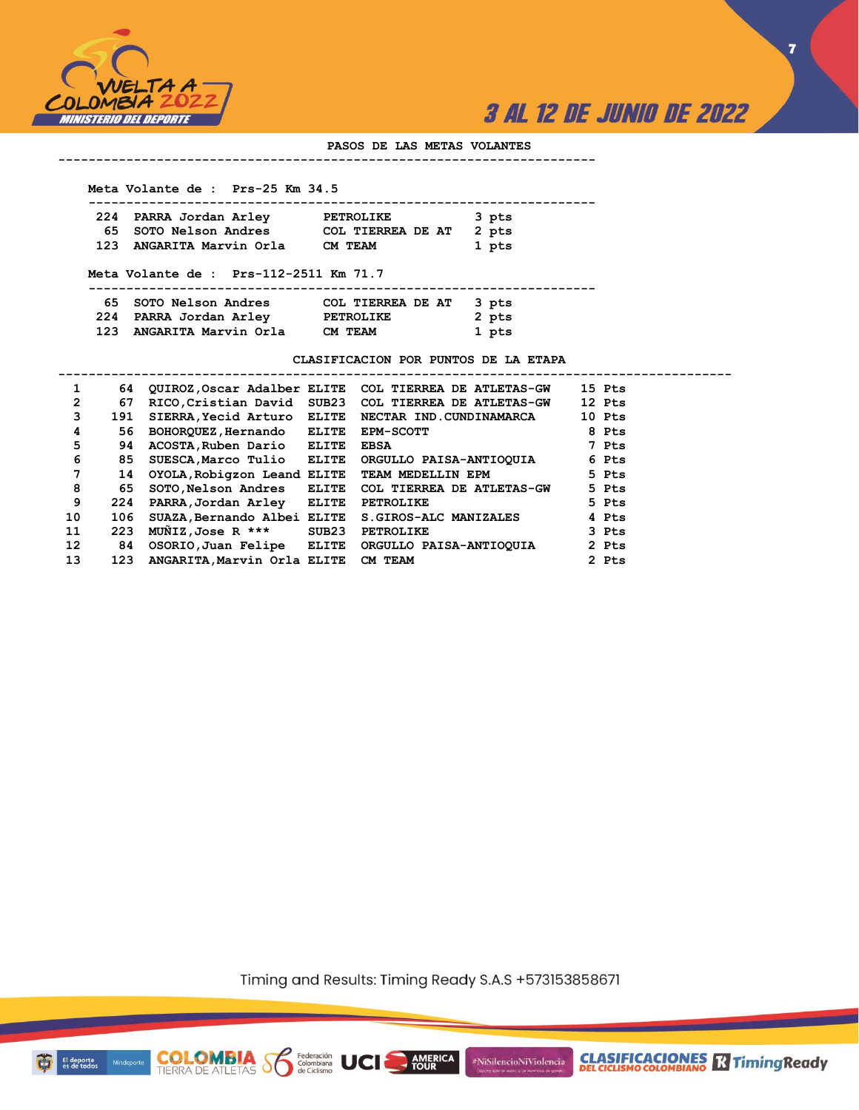



#### **PASOS DE LAS METAS VOLANTES**

#### **-----------------------------------------------------------------------**

#### **Meta Volante de : Prs-25 Km 34.5**

|  | 224 PARRA Jordan Arley   | <b>PETROLIKE</b>        | 3 pts |
|--|--------------------------|-------------------------|-------|
|  | 65 SOTO Nelson Andres    | COL TIERREA DE AT 2 pts |       |
|  | 123 ANGARITA Marvin Orla | CM TEAM                 | 1 pts |

#### **Meta Volante de : Prs-112-2511 Km 71.7**

**COLOMBIA** Solenbiana<br>TIERRA DE ATLETAS SOLENDO de Ciclismo

| 65 SOTO Nelson Andres    | COL TIERREA DE AT 3 pts |       |
|--------------------------|-------------------------|-------|
| 224 PARRA Jordan Arley   | <b>PETROLIKE</b>        | 2 pts |
| 123 ANGARITA Marvin Orla | CM TEAM                 | 1 pts |

**CLASIFICACION POR PUNTOS DE LA ETAPA**

| $\mathbf{1}$    | 64  |                             |       | QUIROZ, Oscar Adalber ELITE COL TIERREA DE ATLETAS-GW | 15 Pts |
|-----------------|-----|-----------------------------|-------|-------------------------------------------------------|--------|
| $\overline{2}$  | 67  |                             |       | RICO, Cristian David SUB23 COL TIERREA DE ATLETAS-GW  | 12 Pts |
| 3               | 191 | SIERRA, Yecid Arturo ELITE  |       | NECTAR IND.CUNDINAMARCA                               | 10 Pts |
| 4               | 56  | BOHORQUEZ, Hernando         | ELITE | <b>EPM-SCOTT</b>                                      | 8 Pts  |
| 5               | 94  | ACOSTA, Ruben Dario ELITE   |       | <b>EBSA</b>                                           | 7 Pts  |
| 6               | 85  | SUESCA, Marco Tulio ELITE   |       | ORGULLO PAISA-ANTIOQUIA                               | 6 Pts  |
| 7               | 14  | OYOLA, Robigzon Leand ELITE |       | TEAM MEDELLIN EPM                                     | 5 Pts  |
| 8               | 65  | SOTO, Nelson Andres ELITE   |       | COL TIERREA DE ATLETAS-GW                             | 5 Pts  |
| 9               | 224 | PARRA, Jordan Arley ELITE   |       | <b>PETROLIKE</b>                                      | 5 Pts  |
| 10              | 106 | SUAZA, Bernando Albei ELITE |       | <b>S.GIROS-ALC MANIZALES</b>                          | 4 Pts  |
| 11              | 223 | $M\tilde{M}$ IZ,Jose R ***  | SUB23 | PETROLIKE                                             | 3 Pts  |
| 12 <sup>2</sup> | 84  | OSORIO, Juan Felipe ELITE   |       | ORGULLO PAISA-ANTIOQUIA                               | 2 Pts  |
| 13              | 123 | ANGARITA, Marvin Orla ELITE |       | <b>CM TEAM</b>                                        | 2 Pts  |
|                 |     |                             |       |                                                       |        |

Timing and Results: Timing Ready S.A.S +573153858671

AMERICA

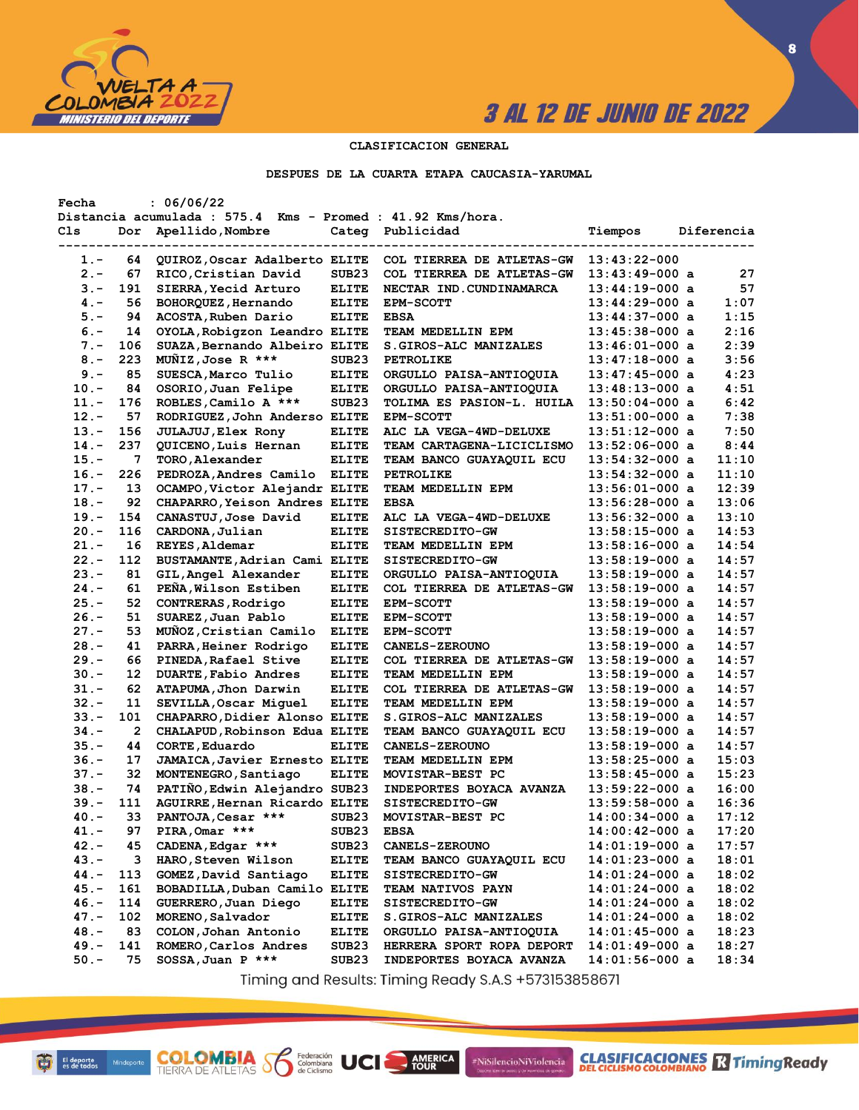

**8**

### **CLASIFICACION GENERAL**

#### **DESPUES DE LA CUARTA ETAPA CAUCASIA-YARUMAL**

| Fecha   |     | : 06/06/22                                                 |                   |                                  |                  |            |
|---------|-----|------------------------------------------------------------|-------------------|----------------------------------|------------------|------------|
|         |     | Distancia acumulada : 575.4 Kms - Promed : 41.92 Kms/hora. |                   |                                  |                  |            |
| Cls     | Dor | Apellido, Nombre                                           | Categ             | Publicidad                       | Tiempos          | Diferencia |
|         |     |                                                            |                   |                                  |                  |            |
| 1.-     | 64  | QUIROZ, Oscar Adalberto ELITE                              |                   | COL TIERREA DE ATLETAS-GW        | $13:43:22-000$   |            |
| $2 -$   | 67  | RICO, Cristian David                                       | SUB <sub>23</sub> | COL TIERREA DE ATLETAS-GW        | $13:43:49-000$ a | 27         |
| $3 -$   | 191 | SIERRA, Yecid Arturo                                       | <b>ELITE</b>      | NECTAR IND. CUNDINAMARCA         | $13:44:19-000$ a | 57         |
| $4 -$   | 56  | BOHORQUEZ, Hernando                                        | <b>ELITE</b>      | <b>EPM-SCOTT</b>                 | $13:44:29-000$ a | 1:07       |
| $5. -$  | 94  | ACOSTA, Ruben Dario                                        | <b>ELITE</b>      | <b>EBSA</b>                      | $13:44:37-000$ a | 1:15       |
| $6. -$  | 14  | OYOLA, Robigzon Leandro ELITE                              |                   | TEAM MEDELLIN EPM                | $13:45:38-000$ a | 2:16       |
| $7 -$   | 106 | SUAZA, Bernando Albeiro ELITE                              |                   | <b>S.GIROS-ALC MANIZALES</b>     | $13:46:01-000$ a | 2:39       |
| $8 -$   | 223 | MUNIZ, Jose R ***                                          | SUB <sub>23</sub> | <b>PETROLIKE</b>                 | $13:47:18-000$ a | 3:56       |
| $9 -$   | 85  | SUESCA, Marco Tulio                                        | <b>ELITE</b>      | ORGULLO PAISA-ANTIOQUIA          | $13:47:45-000$ a | 4:23       |
| $10. -$ | 84  | OSORIO, Juan Felipe                                        | <b>ELITE</b>      | ORGULLO PAISA-ANTIOQUIA          | $13:48:13-000$ a | 4:51       |
| 11.-    | 176 | ROBLES, Camilo A ***                                       | SUB <sub>23</sub> | TOLIMA ES PASION-L. HUILA        | $13:50:04-000$ a | 6:42       |
|         | 57  |                                                            |                   |                                  |                  |            |
| $12 -$  |     | RODRIGUEZ, John Anderso ELITE                              |                   | <b>EPM-SCOTT</b>                 | $13:51:00-000$ a | 7:38       |
| $13 -$  | 156 | JULAJUJ, Elex Rony                                         | <b>ELITE</b>      | ALC LA VEGA-4WD-DELUXE           | $13:51:12-000$ a | 7:50       |
| $14. -$ | 237 | QUICENO, Luis Hernan                                       | <b>ELITE</b>      | <b>TEAM CARTAGENA-LICICLISMO</b> | $13:52:06-000$ a | 8:44       |
| $15. -$ | 7   | TORO, Alexander                                            | <b>ELITE</b>      | <b>TEAM BANCO GUAYAQUIL ECU</b>  | $13:54:32-000$ a | 11:10      |
| $16. -$ | 226 | PEDROZA, Andres Camilo                                     | <b>ELITE</b>      | <b>PETROLIKE</b>                 | $13:54:32-000$ a | 11:10      |
| $17. -$ | 13  | OCAMPO, Victor Alejandr ELITE                              |                   | TEAM MEDELLIN EPM                | $13:56:01-000$ a | 12:39      |
| $18. -$ | 92  | CHAPARRO, Yeison Andres ELITE                              |                   | <b>EBSA</b>                      | $13:56:28-000$ a | 13:06      |
| $19. -$ | 154 | CANASTUJ, Jose David                                       | <b>ELITE</b>      | ALC LA VEGA-4WD-DELUXE           | $13:56:32-000$ a | 13:10      |
| $20 -$  | 116 | CARDONA, Julian                                            | <b>ELITE</b>      | <b>SISTECREDITO-GW</b>           | $13:58:15-000$ a | 14:53      |
| $21. -$ | 16  | REYES, Aldemar                                             | <b>ELITE</b>      | TEAM MEDELLIN EPM                | $13:58:16-000$ a | 14:54      |
| $22 -$  | 112 | BUSTAMANTE, Adrian Cami ELITE                              |                   | <b>SISTECREDITO-GW</b>           | $13:58:19-000$ a | 14:57      |
| $23 -$  | 81  | GIL, Angel Alexander                                       | <b>ELITE</b>      | ORGULLO PAISA-ANTIOQUIA          | $13:58:19-000$ a | 14:57      |
| $24. -$ | 61  | PENA, Wilson Estiben                                       | <b>ELITE</b>      | <b>COL TIERREA DE ATLETAS-GW</b> | $13:58:19-000$ a | 14:57      |
| $25. -$ | 52  | CONTRERAS, Rodrigo                                         | <b>ELITE</b>      | <b>EPM-SCOTT</b>                 | $13:58:19-000$ a | 14:57      |
| $26. -$ | 51  | SUAREZ, Juan Pablo                                         | <b>ELITE</b>      | <b>EPM-SCOTT</b>                 | $13:58:19-000$ a | 14:57      |
| $27. -$ | 53  | MUÑOZ, Cristian Camilo                                     | <b>ELITE</b>      | <b>EPM-SCOTT</b>                 | $13:58:19-000$ a | 14:57      |
| $28 -$  | 41  | PARRA, Heiner Rodrigo                                      | <b>ELITE</b>      | <b>CANELS-ZEROUNO</b>            | $13:58:19-000$ a | 14:57      |
| $29. -$ | 66  | PINEDA, Rafael Stive                                       | <b>ELITE</b>      | COL TIERREA DE ATLETAS-GW        | $13:58:19-000$ a | 14:57      |
| $30 -$  | 12  | DUARTE, Fabio Andres                                       | <b>ELITE</b>      | TEAM MEDELLIN EPM                | $13:58:19-000$ a | 14:57      |
| $31 -$  | 62  | ATAPUMA, Jhon Darwin                                       | <b>ELITE</b>      | COL TIERREA DE ATLETAS-GW        | $13:58:19-000$ a | 14:57      |
| $32 -$  | 11  | SEVILLA, Oscar Miguel                                      | <b>ELITE</b>      |                                  |                  | 14:57      |
|         |     |                                                            |                   | TEAM MEDELLIN EPM                | $13:58:19-000$ a |            |
| $33 -$  | 101 | CHAPARRO, Didier Alonso ELITE                              |                   | S.GIROS-ALC MANIZALES            | $13:58:19-000$ a | 14:57      |
| $34. -$ | 2   | CHALAPUD, Robinson Edua ELITE                              |                   | <b>TEAM BANCO GUAYAQUIL ECU</b>  | $13:58:19-000$ a | 14:57      |
| $35. -$ | 44  | CORTE, Eduardo                                             | ELITE             | <b>CANELS-ZEROUNO</b>            | $13:58:19-000$ a | 14:57      |
| $36. -$ | 17  | <b>JAMAICA, Javier Ernesto ELITE</b>                       |                   | TEAM MEDELLIN EPM                | $13:58:25-000$ a | 15:03      |
| $37. -$ | 32  | MONTENEGRO, Santiago                                       | <b>ELITE</b>      | MOVISTAR-BEST PC                 | $13:58:45-000$ a | 15:23      |
| $38 -$  | 74  | PATIÑO, Edwin Alejandro SUB23                              |                   | INDEPORTES BOYACA AVANZA         | $13:59:22-000$ a | 16:00      |
| 39.-    | 111 | AGUIRRE, Hernan Ricardo ELITE                              |                   | SISTECREDITO-GW                  | $13:59:58-000$ a | 16:36      |
| 40.-    | 33  | PANTOJA, Cesar ***                                         | SUB <sub>23</sub> | MOVISTAR-BEST PC                 | $14:00:34-000$ a | 17:12      |
| 41.-    | 97  | PIRA, Omar ***                                             | SUB23             | <b>EBSA</b>                      | $14:00:42-000$ a | 17:20      |
| $42 -$  | 45  | CADENA, Edgar ***                                          | SUB23             | <b>CANELS-ZEROUNO</b>            | $14:01:19-000$ a | 17:57      |
| 43.-    | з   | HARO, Steven Wilson                                        | <b>ELITE</b>      | TEAM BANCO GUAYAQUIL ECU         | $14:01:23-000$ a | 18:01      |
| $44. -$ | 113 | GOMEZ, David Santiago                                      | <b>ELITE</b>      | <b>SISTECREDITO-GW</b>           | $14:01:24-000$ a | 18:02      |
| $45. -$ | 161 | BOBADILLA, Duban Camilo ELITE                              |                   | <b>TEAM NATIVOS PAYN</b>         | $14:01:24-000$ a | 18:02      |
| $46. -$ | 114 | GUERRERO, Juan Diego                                       | <b>ELITE</b>      | SISTECREDITO-GW                  | $14:01:24-000$ a | 18:02      |
| $47. -$ | 102 | MORENO, Salvador                                           | <b>ELITE</b>      | S.GIROS-ALC MANIZALES            | $14:01:24-000$ a | 18:02      |
| 48.-    | 83  | COLON, Johan Antonio                                       | <b>ELITE</b>      | ORGULLO PAISA-ANTIOQUIA          | $14:01:45-000$ a | 18:23      |
| 49. –   | 141 | ROMERO, Carlos Andres                                      | SUB <sub>23</sub> | HERRERA SPORT ROPA DEPORT        | $14:01:49-000$ a | 18:27      |
| $50. -$ | 75  | SOSSA, Juan P ***                                          | SUB <sub>23</sub> | INDEPORTES BOYACA AVANZA         | $14:01:56-000$ a | 18:34      |
|         |     |                                                            |                   |                                  |                  |            |

Timing and Results: Timing Ready S.A.S +573153858671

**AMERICA** 

#NiSilencioNiViolencia

**COLOMBIA S6** 

Federación<br>Colombiana<br>de Ciclismo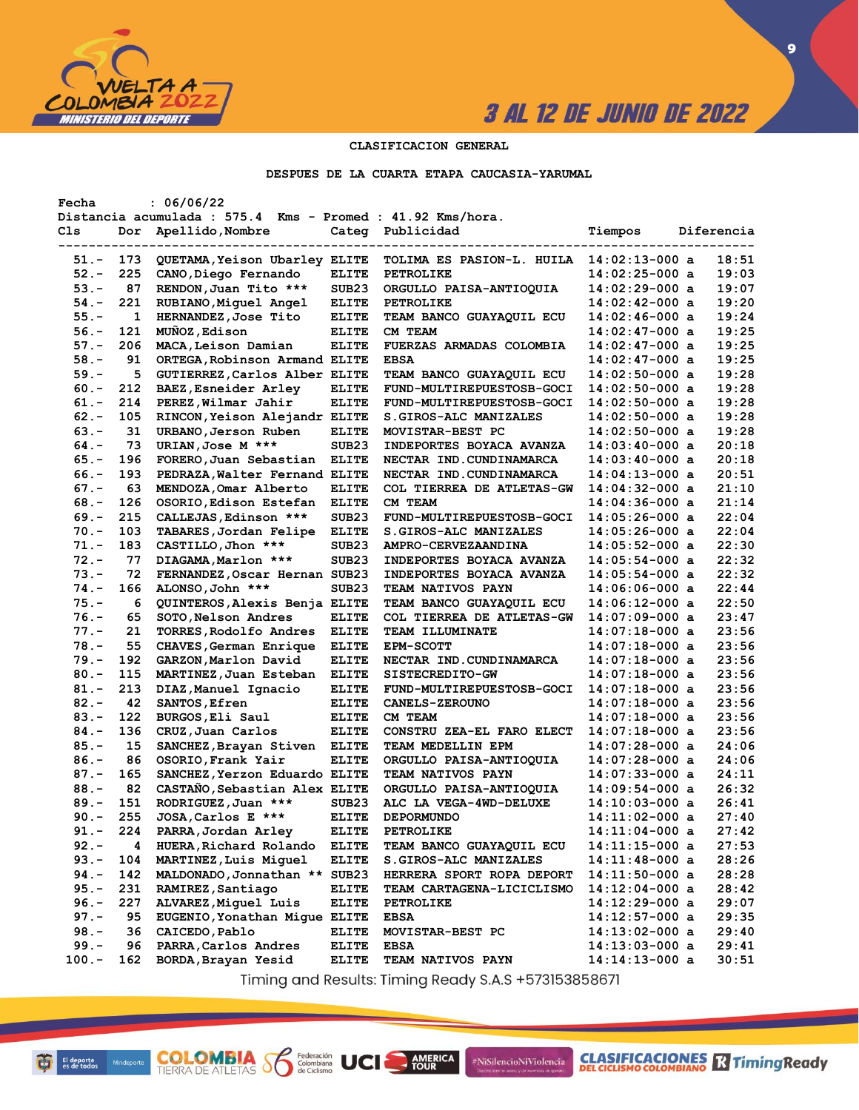

**CLASIFICACIONES** TimingReady

**9**

### **CLASIFICACION GENERAL**

#### **DESPUES DE LA CUARTA ETAPA CAUCASIA-YARUMAL**

| Fecha   |     | : 06/06/22                                                 |                   |                            |                  |            |
|---------|-----|------------------------------------------------------------|-------------------|----------------------------|------------------|------------|
|         |     | Distancia acumulada : 575.4 Kms - Promed : 41.92 Kms/hora. |                   |                            |                  |            |
| Cls     | Dor | Apellido, Nombre                                           | Categ             | Publicidad                 | Tiempos          | Diferencia |
|         |     |                                                            |                   |                            |                  |            |
| $51. -$ | 173 | QUETAMA, Yeison Ubarley ELITE                              |                   | TOLIMA ES PASION-L. HUILA  | $14:02:13-000$ a | 18:51      |
| $52 -$  | 225 | CANO, Diego Fernando                                       | <b>ELITE</b>      | PETROLIKE                  | $14:02:25-000$ a | 19:03      |
| $53. -$ | 87  | RENDON, Juan Tito ***                                      | SUB <sub>23</sub> | ORGULLO PAISA-ANTIOQUIA    | $14:02:29-000$ a | 19:07      |
| $54. -$ | 221 | RUBIANO, Miguel Angel                                      | <b>ELITE</b>      | <b>PETROLIKE</b>           | 14:02:42-000 a   | 19:20      |
| $55. -$ | 1   | HERNANDEZ, Jose Tito                                       | <b>ELITE</b>      | TEAM BANCO GUAYAQUIL ECU   | 14:02:46-000 a   | 19:24      |
| $56. -$ | 121 | MUNOZ, Edison                                              | <b>ELITE</b>      | CM TEAM                    | 14:02:47-000 a   | 19:25      |
| $57. -$ | 206 | MACA, Leison Damian                                        | <b>ELITE</b>      | FUERZAS ARMADAS COLOMBIA   | $14:02:47-000$ a | 19:25      |
| $58. -$ | 91  | ORTEGA, Robinson Armand ELITE                              |                   | <b>EBSA</b>                | 14:02:47-000 a   | 19:25      |
| $59. -$ | 5   | GUTIERREZ, Carlos Alber ELITE                              |                   | TEAM BANCO GUAYAQUIL ECU   | $14:02:50-000$ a | 19:28      |
| $60 -$  | 212 | BAEZ, Esneider Arley                                       | <b>ELITE</b>      | FUND-MULTIREPUESTOSB-GOCI  | $14:02:50-000$ a | 19:28      |
| $61. -$ | 214 | PEREZ, Wilmar Jahir                                        | <b>ELITE</b>      | FUND-MULTIREPUESTOSB-GOCI  | 14:02:50-000 a   | 19:28      |
| $62 -$  | 105 | RINCON, Yeison Alejandr ELITE                              |                   | S.GIROS-ALC MANIZALES      | 14:02:50-000 a   | 19:28      |
| $63 -$  | 31  | URBANO, Jerson Ruben                                       | <b>ELITE</b>      | MOVISTAR-BEST PC           | $14:02:50-000$ a | 19:28      |
| $64. -$ | 73  | URIAN, Jose M ***                                          | SUB <sub>23</sub> | INDEPORTES BOYACA AVANZA   | 14:03:40-000 a   | 20:18      |
| $65. -$ | 196 | FORERO, Juan Sebastian                                     | <b>ELITE</b>      | NECTAR IND. CUNDINAMARCA   | 14:03:40-000 a   | 20:18      |
| $66. -$ | 193 | PEDRAZA, Walter Fernand ELITE                              |                   | NECTAR IND. CUNDINAMARCA   | $14:04:13-000$ a | 20:51      |
| $67. -$ | 63  | MENDOZA, Omar Alberto                                      | <b>ELITE</b>      | COL TIERREA DE ATLETAS-GW  | $14:04:32-000$ a | 21:10      |
| $68. -$ | 126 | OSORIO, Edison Estefan                                     | <b>ELITE</b>      | CM TEAM                    | $14:04:36-000$ a | 21:14      |
| $69. -$ | 215 | CALLEJAS, Edinson ***                                      | SUB <sub>23</sub> | FUND-MULTIREPUESTOSB-GOCI  | $14:05:26-000$ a | 22:04      |
| $70. -$ | 103 | TABARES, Jordan Felipe                                     | <b>ELITE</b>      | S.GIROS-ALC MANIZALES      | $14:05:26-000$ a | 22:04      |
| $71. -$ | 183 | CASTILLO, Jhon ***                                         | SUB <sub>23</sub> | <b>AMPRO-CERVEZAANDINA</b> | 14:05:52-000 a   | 22:30      |
| $72 -$  | 77  | DIAGAMA, Marlon ***                                        | SUB <sub>23</sub> | INDEPORTES BOYACA AVANZA   | 14:05:54-000 a   | 22:32      |
| $73. -$ | 72  | FERNANDEZ, Oscar Hernan SUB23                              |                   | INDEPORTES BOYACA AVANZA   | $14:05:54-000$ a | 22:32      |
| $74. -$ | 166 |                                                            | SUB23             |                            |                  | 22:44      |
|         |     | ALONSO, John ***                                           |                   | <b>TEAM NATIVOS PAYN</b>   | 14:06:06-000 a   | 22:50      |
| $75. -$ | 6   | QUINTEROS, Alexis Benja ELITE                              |                   | TEAM BANCO GUAYAQUIL ECU   | 14:06:12-000 a   |            |
| $76. -$ | 65  | SOTO, Nelson Andres                                        | <b>ELITE</b>      | COL TIERREA DE ATLETAS-GW  | $14:07:09-000$ a | 23:47      |
| $77. -$ | 21  | <b>TORRES,Rodolfo Andres</b>                               | <b>ELITE</b>      | <b>TEAM ILLUMINATE</b>     | 14:07:18-000 a   | 23:56      |
| $78. -$ | 55  | CHAVES, German Enrique                                     | <b>ELITE</b>      | <b>EPM-SCOTT</b>           | 14:07:18-000 a   | 23:56      |
| $79. -$ | 192 | GARZON, Marlon David                                       | <b>ELITE</b>      | NECTAR IND.CUNDINAMARCA    | $14:07:18-000$ a | 23:56      |
| $80. -$ | 115 | MARTINEZ, Juan Esteban                                     | <b>ELITE</b>      | SISTECREDITO-GW            | $14:07:18-000$ a | 23:56      |
| $81. -$ | 213 | DIAZ, Manuel Ignacio                                       | <b>ELITE</b>      | FUND-MULTIREPUESTOSB-GOCI  | 14:07:18-000 a   | 23:56      |
| $82 -$  | 42  | <b>SANTOS, Efren</b>                                       | <b>ELITE</b>      | <b>CANELS-ZEROUNO</b>      | 14:07:18-000 a   | 23:56      |
| $83 -$  | 122 | BURGOS, Eli Saul                                           | <b>ELITE</b>      | CM TEAM                    | 14:07:18-000 a   | 23:56      |
| $84. -$ | 136 | CRUZ, Juan Carlos                                          | <b>ELITE</b>      | CONSTRU ZEA-EL FARO ELECT  | 14:07:18-000 a   | 23:56      |
| $85. -$ | 15  | SANCHEZ, Brayan Stiven                                     | <b>ELITE</b>      | TEAM MEDELLIN EPM          | 14:07:28-000 a   | 24:06      |
| $86. -$ | 86  | OSORIO, Frank Yair                                         | <b>ELITE</b>      | ORGULLO PAISA-ANTIOQUIA    | $14:07:28-000$ a | 24:06      |
| $87. -$ | 165 | SANCHEZ, Yerzon Eduardo ELITE                              |                   | <b>TEAM NATIVOS PAYN</b>   | $14:07:33-000$ a | 24:11      |
| $88. -$ | 82  | CASTAÑO, Sebastian Alex ELITE                              |                   | ORGULLO PAISA-ANTIOQUIA    | $14:09:54-000$ a | 26:32      |
| $89. -$ | 151 | RODRIGUEZ, Juan ***                                        | SUB <sub>23</sub> | ALC LA VEGA-4WD-DELUXE     | 14:10:03-000 a   | 26:41      |
| $90 -$  | 255 | JOSA, Carlos E ***                                         | <b>ELITE</b>      | <b>DEPORMUNDO</b>          | 14:11:02-000 a   | 27:40      |
| $91. -$ | 224 | PARRA, Jordan Arley                                        | <b>ELITE</b>      | <b>PETROLIKE</b>           | $14:11:04-000$ a | 27:42      |
| $92 -$  | 4   | HUERA, Richard Rolando                                     | <b>ELITE</b>      | TEAM BANCO GUAYAQUIL ECU   | 14:11:15-000 a   | 27:53      |
| $93 -$  | 104 | MARTINEZ, Luis Miguel                                      | <b>ELITE</b>      | S.GIROS-ALC MANIZALES      | 14:11:48-000 a   | 28:26      |
| $94. -$ | 142 | MALDONADO, Jonnathan ** SUB23                              |                   | HERRERA SPORT ROPA DEPORT  | 14:11:50-000 a   | 28:28      |
| $95. -$ | 231 | RAMIREZ, Santiago                                          | <b>ELITE</b>      | TEAM CARTAGENA-LICICLISMO  | 14:12:04-000 a   | 28:42      |
| $96. -$ | 227 | ALVAREZ, Miquel Luis                                       | <b>ELITE</b>      | <b>PETROLIKE</b>           | 14:12:29-000 a   | 29:07      |
| $97. -$ | 95  | EUGENIO, Yonathan Mique ELITE                              |                   | <b>EBSA</b>                | 14:12:57-000 a   | 29:35      |
| $98. -$ | 36  | CAICEDO, Pablo                                             | <b>ELITE</b>      | MOVISTAR-BEST PC           | 14:13:02-000 a   | 29:40      |
| $99. -$ | 96  | PARRA, Carlos Andres                                       | <b>ELITE</b>      | <b>EBSA</b>                | $14:13:03-000$ a | 29:41      |
| $100.-$ | 162 | BORDA, Brayan Yesid                                        | <b>ELITE</b>      | TEAM NATIVOS PAYN          | 14:14:13-000 a   | 30:51      |
|         |     |                                                            |                   |                            |                  |            |

Timing and Results: Timing Ready S.A.S +573153858671

AMERICA

#NiSilencioNiViolencia

**COLOMBIA SP** 

Federación<br>Colombiana<br>de Ciclismo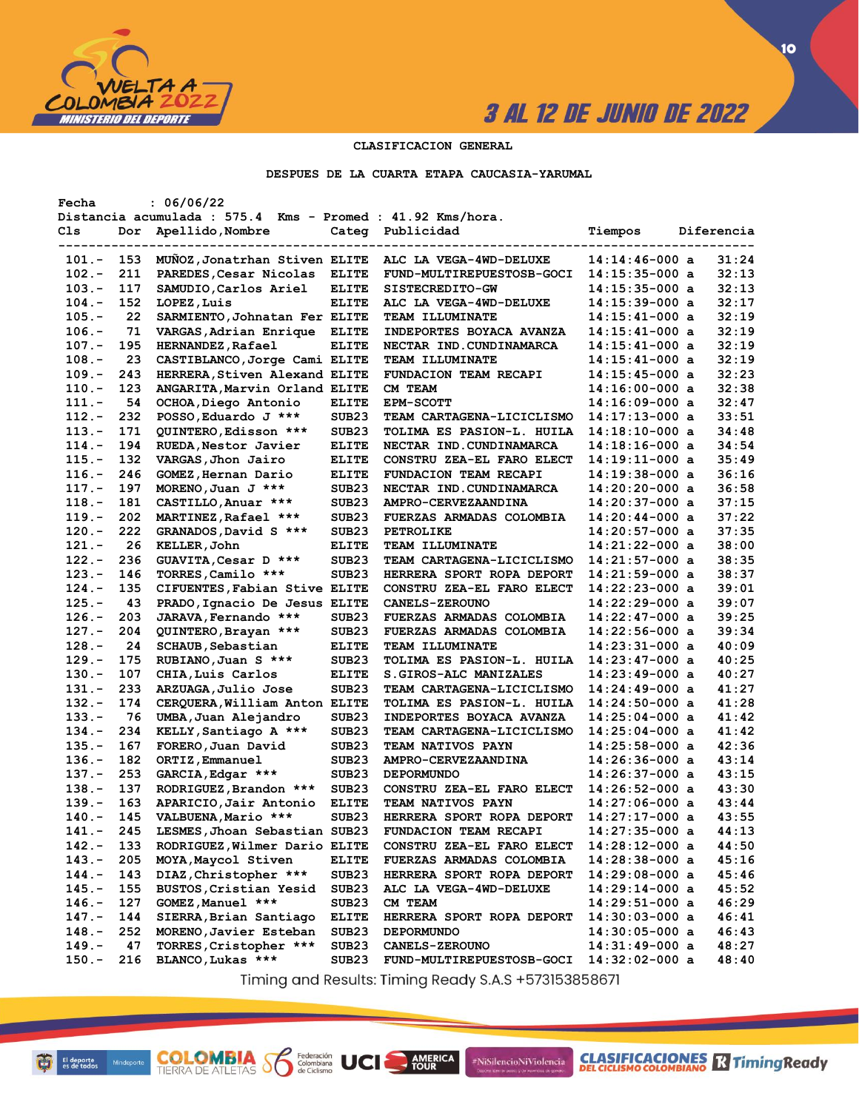

**CLASIFICACIONES** TimingReady

### **CLASIFICACION GENERAL**

#### **DESPUES DE LA CUARTA ETAPA CAUCASIA-YARUMAL**

| Fecha    |     | : 06/06/22                                                 |                   |                                  |                  |            |
|----------|-----|------------------------------------------------------------|-------------------|----------------------------------|------------------|------------|
|          |     | Distancia acumulada : 575.4 Kms - Promed : 41.92 Kms/hora. |                   |                                  |                  |            |
| Cls      | Dor | Apellido, Nombre                                           | Categ             | Publicidad                       | Tiempos          | Diferencia |
|          |     |                                                            |                   |                                  |                  |            |
| 101.-    | 153 | MUNOZ, Jonatrhan Stiven ELITE                              |                   | ALC LA VEGA-4WD-DELUXE           | $14:14:46-000$ a | 31:24      |
| $102 -$  | 211 | PAREDES, Cesar Nicolas                                     | <b>ELITE</b>      | FUND-MULTIREPUESTOSB-GOCI        | $14:15:35-000$ a | 32:13      |
| $103. -$ | 117 | SAMUDIO, Carlos Ariel                                      | <b>ELITE</b>      | <b>SISTECREDITO-GW</b>           | $14:15:35-000$ a | 32:13      |
| $104. -$ | 152 | LOPEZ, Luis                                                | <b>ELITE</b>      | ALC LA VEGA-4WD-DELUXE           | $14:15:39-000$ a | 32:17      |
| $105.-$  | 22  | SARMIENTO, Johnatan Fer ELITE                              |                   | <b>TEAM ILLUMINATE</b>           | $14:15:41-000$ a | 32:19      |
| $106. -$ | 71  | VARGAS, Adrian Enrique                                     | <b>ELITE</b>      | INDEPORTES BOYACA AVANZA         | $14:15:41-000$ a | 32:19      |
| $107. -$ | 195 | <b>HERNANDEZ, Rafael</b>                                   | <b>ELITE</b>      | NECTAR IND.CUNDINAMARCA          | $14:15:41-000$ a | 32:19      |
| $108. -$ | 23  | CASTIBLANCO, Jorge Cami ELITE                              |                   | <b>TEAM ILLUMINATE</b>           | 14:15:41-000 a   | 32:19      |
| $109. -$ | 243 | HERRERA, Stiven Alexand ELITE                              |                   | FUNDACION TEAM RECAPI            | $14:15:45-000$ a | 32:23      |
| $110.-$  | 123 | ANGARITA, Marvin Orland ELITE                              |                   | CM TEAM                          | $14:16:00-000$ a | 32:38      |
| $111. -$ | 54  | OCHOA,Diego Antonio                                        | <b>ELITE</b>      | <b>EPM-SCOTT</b>                 | $14:16:09-000$ a | 32:47      |
| $112 -$  | 232 | POSSO, Eduardo J ***                                       | SUB23             | <b>TEAM CARTAGENA-LICICLISMO</b> | $14:17:13-000$ a | 33:51      |
| $113 -$  | 171 |                                                            | SUB <sub>23</sub> | TOLIMA ES PASION-L. HUILA        | $14:18:10-000$ a | 34:48      |
|          |     | QUINTERO, Edisson ***                                      |                   |                                  |                  | 34:54      |
| $114. -$ | 194 | RUEDA, Nestor Javier                                       | <b>ELITE</b>      | NECTAR IND.CUNDINAMARCA          | 14:18:16-000 a   |            |
| $115. -$ | 132 | VARGAS, Jhon Jairo                                         | <b>ELITE</b>      | CONSTRU ZEA-EL FARO ELECT        | $14:19:11-000$ a | 35:49      |
| $116. -$ | 246 | GOMEZ, Hernan Dario                                        | <b>ELITE</b>      | FUNDACION TEAM RECAPI            | $14:19:38-000$ a | 36:16      |
| $117. -$ | 197 | MORENO, Juan J ***                                         | SUB <sub>23</sub> | NECTAR IND. CUNDINAMARCA         | $14:20:20-000$ a | 36:58      |
| $118. -$ | 181 | CASTILLO, Anuar ***                                        | SUB <sub>23</sub> | AMPRO-CERVEZAANDINA              | $14:20:37-000$ a | 37:15      |
| $119. -$ | 202 | MARTINEZ, Rafael ***                                       | SUB23             | FUERZAS ARMADAS COLOMBIA         | $14:20:44-000$ a | 37:22      |
| $120 -$  | 222 | GRANADOS, David S ***                                      | SUB23             | <b>PETROLIKE</b>                 | $14:20:57-000$ a | 37:35      |
| $121. -$ | 26  | KELLER, John                                               | <b>ELITE</b>      | <b>TEAM ILLUMINATE</b>           | $14:21:22-000$ a | 38:00      |
| $122 -$  | 236 | GUAVITA, Cesar D ***                                       | SUB <sub>23</sub> | <b>TEAM CARTAGENA-LICICLISMO</b> | $14:21:57-000$ a | 38:35      |
| $123 -$  | 146 | TORRES, Camilo ***                                         | SUB <sub>23</sub> | HERRERA SPORT ROPA DEPORT        | $14:21:59-000$ a | 38:37      |
| $124. -$ | 135 | CIFUENTES, Fabian Stive ELITE                              |                   | CONSTRU ZEA-EL FARO ELECT        | $14:22:23-000$ a | 39:01      |
| $125. -$ | 43  | PRADO, Ignacio De Jesus ELITE                              |                   | <b>CANELS-ZEROUNO</b>            | $14:22:29-000$ a | 39:07      |
| $126. -$ | 203 | JARAVA, Fernando ***                                       | SUB <sub>23</sub> | <b>FUERZAS ARMADAS COLOMBIA</b>  | $14:22:47-000$ a | 39:25      |
| $127. -$ | 204 | QUINTERO, Brayan ***                                       | SUB23             | <b>FUERZAS ARMADAS COLOMBIA</b>  | $14:22:56-000$ a | 39:34      |
| $128 -$  | 24  | <b>SCHAUB, Sebastian</b>                                   | <b>ELITE</b>      | <b>TEAM ILLUMINATE</b>           | $14:23:31-000$ a | 40:09      |
| $129. -$ | 175 | RUBIANO, Juan S ***                                        | SUB <sub>23</sub> | TOLIMA ES PASION-L. HUILA        | $14:23:47-000$ a | 40:25      |
| $130 -$  | 107 | CHIA, Luis Carlos                                          | <b>ELITE</b>      | S.GIROS-ALC MANIZALES            | $14:23:49-000$ a | 40:27      |
| $131 -$  | 233 | ARZUAGA, Julio Jose                                        | SUB <sub>23</sub> | <b>TEAM CARTAGENA-LICICLISMO</b> | 14:24:49-000 a   | 41:27      |
| $132 -$  | 174 | CERQUERA, William Anton ELITE                              |                   | TOLIMA ES PASION-L. HUILA        | $14:24:50-000$ a | 41:28      |
| $133 -$  | 76  | UMBA, Juan Alejandro                                       | SUB <sub>23</sub> | <b>INDEPORTES BOYACA AVANZA</b>  | $14:25:04-000$ a | 41:42      |
| $134. -$ | 234 | KELLY, Santiago A ***                                      | SUB <sub>23</sub> | <b>TEAM CARTAGENA-LICICLISMO</b> | $14:25:04-000$ a | 41:42      |
| 135.-    | 167 | FORERO, Juan David                                         | SUB <sub>23</sub> | <b>TEAM NATIVOS PAYN</b>         | $14:25:58-000$ a | 42:36      |
| $136. -$ | 182 |                                                            | SUB <sub>23</sub> | AMPRO-CERVEZAANDINA              | $14:26:36-000$ a | 43:14      |
| $137. -$ | 253 | ORTIZ, Emmanuel                                            |                   | <b>DEPORMUNDO</b>                | $14:26:37-000$ a | 43:15      |
|          |     | GARCIA, Edgar ***                                          | SUB <sub>23</sub> |                                  |                  |            |
| $138 -$  | 137 | RODRIGUEZ, Brandon ***                                     | SUB <sub>23</sub> | CONSTRU ZEA-EL FARO ELECT        | $14:26:52-000$ a | 43:30      |
| $139. -$ | 163 | APARICIO, Jair Antonio                                     | <b>ELITE</b>      | <b>TEAM NATIVOS PAYN</b>         | $14:27:06-000$ a | 43:44      |
| $140 -$  | 145 | VALBUENA, Mario ***                                        | SUB <sub>23</sub> | HERRERA SPORT ROPA DEPORT        | $14:27:17-000$ a | 43:55      |
| 141.-    | 245 | LESMES, Jhoan Sebastian SUB23                              |                   | FUNDACION TEAM RECAPI            | $14:27:35-000$ a | 44:13      |
| $142. -$ | 133 | RODRIGUEZ, Wilmer Dario ELITE                              |                   | CONSTRU ZEA-EL FARO ELECT        | $14:28:12-000$ a | 44:50      |
| $143 -$  | 205 | MOYA, Maycol Stiven                                        | <b>ELITE</b>      | <b>FUERZAS ARMADAS COLOMBIA</b>  | 14:28:38-000 a   | 45:16      |
| $144. -$ | 143 | DIAZ, Christopher ***                                      | SUB <sub>23</sub> | HERRERA SPORT ROPA DEPORT        | 14:29:08-000 a   | 45:46      |
| $145. -$ | 155 | BUSTOS, Cristian Yesid                                     | SUB <sub>23</sub> | ALC LA VEGA-4WD-DELUXE           | $14:29:14-000$ a | 45:52      |
| $146. -$ | 127 | GOMEZ, Manuel ***                                          | SUB <sub>23</sub> | CM TEAM                          | $14:29:51-000$ a | 46:29      |
| $147. -$ | 144 | SIERRA, Brian Santiago                                     | <b>ELITE</b>      | HERRERA SPORT ROPA DEPORT        | $14:30:03-000$ a | 46:41      |
| $148. -$ | 252 | MORENO, Javier Esteban                                     | SUB <sub>23</sub> | <b>DEPORMUNDO</b>                | $14:30:05-000$ a | 46:43      |
| $149. -$ | 47  | TORRES, Cristopher ***                                     | SUB <sub>23</sub> | <b>CANELS-ZEROUNO</b>            | $14:31:49-000$ a | 48:27      |
| $150. -$ | 216 | BLANCO, Lukas ***                                          | SUB <sub>23</sub> | FUND-MULTIREPUESTOSB-GOCI        | $14:32:02-000$ a | 48:40      |
|          |     |                                                            |                   |                                  |                  |            |

Timing and Results: Timing Ready S.A.S +573153858671

**AMERICA** 

#NiSilencioNiViolencia

**COLOMBIA S6** 

Federación<br>Colombiana<br>de Ciclismo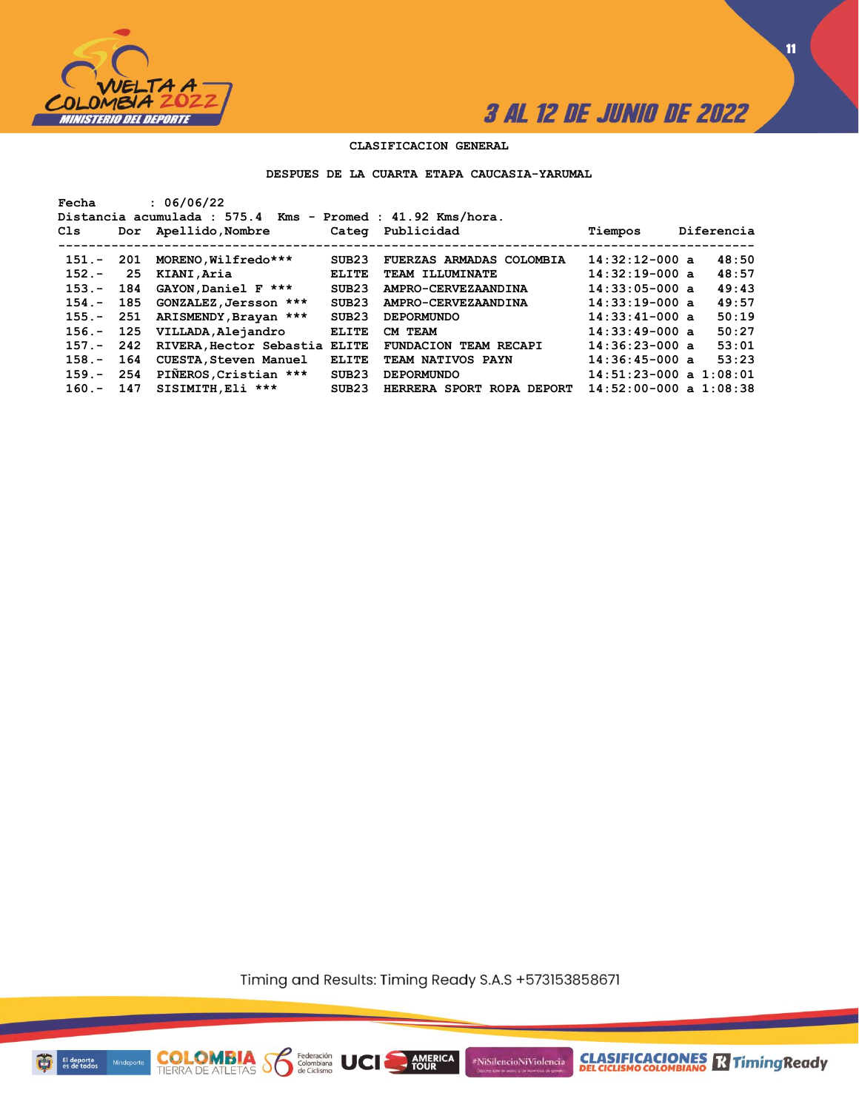

**11**

### **CLASIFICACION GENERAL**

#### **DESPUES DE LA CUARTA ETAPA CAUCASIA-YARUMAL**

| Fecha<br>Cls |      | : 06/06/22<br>Distancia acumulada : 575.4<br>Dor Apellido, Nombre |              | $Kms - Promed : 41.92 Kms/hora.$<br>Categ Publicidad | Tiempos                    | Diferencia |
|--------------|------|-------------------------------------------------------------------|--------------|------------------------------------------------------|----------------------------|------------|
| $151 -$      | -201 | MORENO, Wilfredo***                                               | SUB23        | FUERZAS ARMADAS COLOMBIA                             | $14:32:12-000$ a           | 48:50      |
| $152 -$      | 25   | KIANI, Aria                                                       | <b>ELITE</b> | TEAM ILLUMINATE                                      | $14:32:19-000$ a           | 48:57      |
| $153 -$      | 184  | GAYON, Daniel F ***                                               | SUB23        | AMPRO-CERVEZAANDINA                                  | $14:33:05-000$ a           | 49:43      |
| $154 -$      | 185  | GONZALEZ, Jersson ***                                             | SUB23        | AMPRO-CERVEZAANDINA                                  | $14:33:19-000$ a           | 49:57      |
| $155. -$     | 251  | ARISMENDY, Brayan ***                                             | SUB23        | <b>DEPORMUNDO</b>                                    | $14:33:41-000$ a           | 50:19      |
| $156. -$     | 125  | VILLADA, Alejandro                                                | <b>ELITE</b> | CM TEAM                                              | $14:33:49-000$ a           | 50:27      |
| $157 -$      | 242  | RIVERA, Hector Sebastia ELITE                                     |              | FUNDACION TEAM RECAPI                                | $14:36:23-000$ a           | 53:01      |
| $158 -$      | 164  | <b>CUESTA, Steven Manuel</b>                                      | <b>ELITE</b> | TEAM NATIVOS PAYN                                    | $14:36:45-000$ a           | 53:23      |
| $159. -$     | 254  | PIÑEROS, Cristian ***                                             | SUB23        | <b>DEPORMUNDO</b>                                    | $14:51:23-000$ a $1:08:01$ |            |
| $160 -$      | 147  | SISIMITH, Eli ***                                                 | SUB23        | HERRERA SPORT ROPA DEPORT                            | $14:52:00-000$ a $1:08:38$ |            |

Timing and Results: Timing Ready S.A.S +573153858671

**AMERICA** 

#NiSilencioNiViolencia



**COLOMBIA S6** 

Federación<br>Colombiana<br>de Ciclismo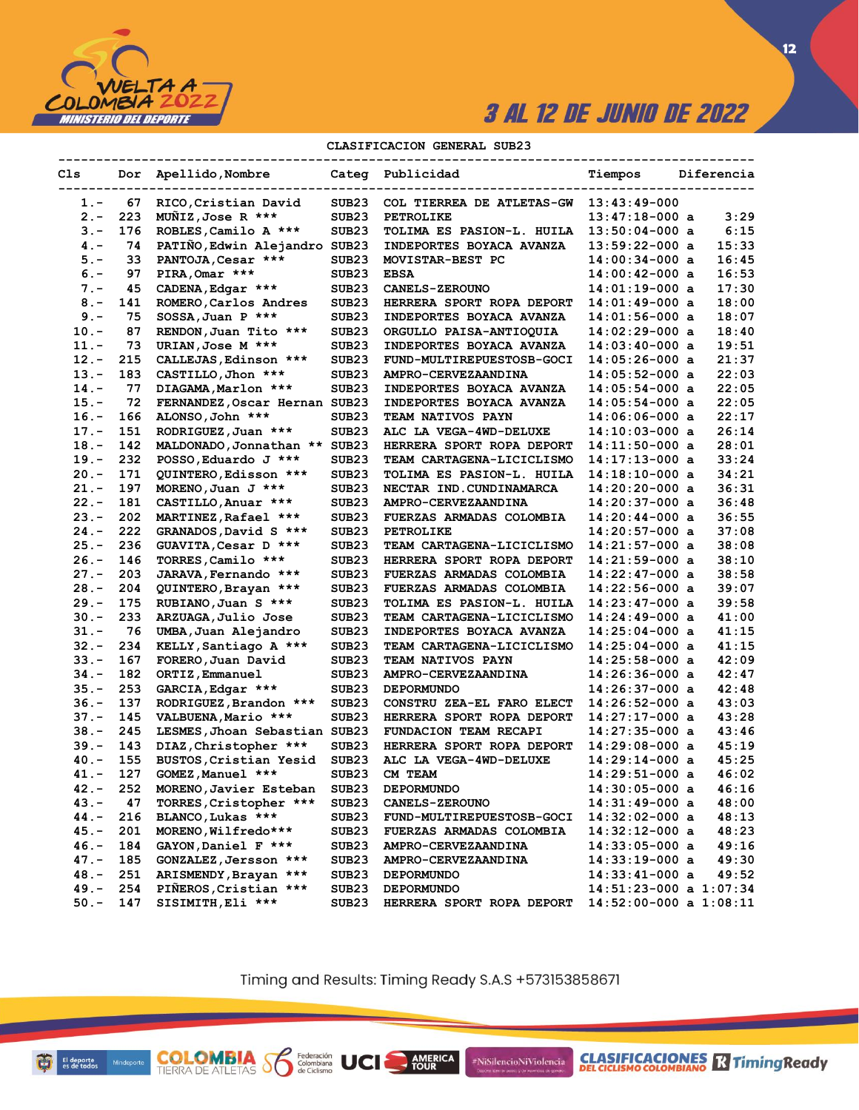

### **CLASIFICACION GENERAL SUB23**

| Cls     | Dor | Apellido, Nombre              |                   | Categ Publicidad                | Tiempos                    | Diferencia |
|---------|-----|-------------------------------|-------------------|---------------------------------|----------------------------|------------|
| 1.-     | 67  | RICO, Cristian David          | SUB <sub>23</sub> | COL TIERREA DE ATLETAS-GW       | $13:43:49-000$             |            |
| $2 -$   | 223 | MUNIZ, Jose R ***             | SUB <sub>23</sub> | <b>PETROLIKE</b>                | $13:47:18-000$ a           | 3:29       |
| $3 -$   | 176 | ROBLES, Camilo A ***          | SUB23             | TOLIMA ES PASION-L. HUILA       | $13:50:04-000$ a           | 6:15       |
| $4 -$   | 74  | PATIÑO, Edwin Alejandro SUB23 |                   | INDEPORTES BOYACA AVANZA        | $13:59:22-000$ a           | 15:33      |
| $5. -$  | 33  | PANTOJA, Cesar ***            | SUB23             | MOVISTAR-BEST PC                | 14:00:34-000 a             | 16:45      |
| $6. -$  | 97  | PIRA, Omar ***                | SUB <sub>23</sub> | <b>EBSA</b>                     | 14:00:42-000 a             | 16:53      |
| $7 -$   | 45  | CADENA, Edgar ***             | SUB <sub>23</sub> | <b>CANELS-ZEROUNO</b>           | 14:01:19-000 a             | 17:30      |
| $8 -$   | 141 | ROMERO, Carlos Andres         | SUB23             | HERRERA SPORT ROPA DEPORT       | $14:01:49-000$ a           | 18:00      |
| $9 -$   | 75  | SOSSA, Juan P ***             | SUB <sub>23</sub> | INDEPORTES BOYACA AVANZA        | 14:01:56-000 a             | 18:07      |
| $10. -$ | 87  | RENDON, Juan Tito ***         | SUB <sub>23</sub> | ORGULLO PAISA-ANTIOQUIA         | $14:02:29-000$ a           | 18:40      |
| $11. -$ | 73  | URIAN, Jose M ***             | SUB <sub>23</sub> | INDEPORTES BOYACA AVANZA        | 14:03:40-000 a             | 19:51      |
| $12 -$  | 215 | CALLEJAS, Edinson ***         | SUB <sub>23</sub> | FUND-MULTIREPUESTOSB-GOCI       | $14:05:26-000$ a           | 21:37      |
| $13 -$  | 183 | CASTILLO, Jhon ***            | SUB23             | <b>AMPRO-CERVEZAANDINA</b>      | 14:05:52-000 a             | 22:03      |
| $14. -$ | 77  | DIAGAMA, Marlon ***           | SUB23             | INDEPORTES BOYACA AVANZA        | $14:05:54-000$ a           | 22:05      |
| $15. -$ | 72  | FERNANDEZ, Oscar Hernan SUB23 |                   | INDEPORTES BOYACA AVANZA        | 14:05:54-000 a             | 22:05      |
| $16. -$ | 166 | ALONSO, John ***              | SUB <sub>23</sub> | <b>TEAM NATIVOS PAYN</b>        | 14:06:06-000 a             | 22:17      |
| $17. -$ | 151 | RODRIGUEZ, Juan ***           | SUB <sub>23</sub> | ALC LA VEGA-4WD-DELUXE          | $14:10:03-000$ a           | 26:14      |
| $18. -$ | 142 | MALDONADO, Jonnathan **       | SUB <sub>23</sub> | HERRERA SPORT ROPA DEPORT       | $14:11:50-000$ a           | 28:01      |
| $19. -$ | 232 | POSSO, Eduardo J ***          | SUB <sub>23</sub> | TEAM CARTAGENA-LICICLISMO       | $14:17:13-000$ a           | 33:24      |
| $20 -$  | 171 | QUINTERO, Edisson ***         | SUB <sub>23</sub> | TOLIMA ES PASION-L. HUILA       | $14:18:10-000$ a           | 34:21      |
| $21 -$  | 197 | MORENO, Juan J ***            | SUB23             | NECTAR IND.CUNDINAMARCA         | $14:20:20-000$ a           | 36:31      |
| $22 -$  | 181 | CASTILLO, Anuar ***           | SUB <sub>23</sub> | <b>AMPRO-CERVEZAANDINA</b>      | $14:20:37-000$ a           | 36:48      |
| $23 -$  | 202 | MARTINEZ, Rafael ***          | SUB23             | FUERZAS ARMADAS COLOMBIA        | $14:20:44-000$ a           | 36:55      |
| $24. -$ | 222 | GRANADOS, David S ***         | SUB23             | <b>PETROLIKE</b>                | $14:20:57-000$ a           | 37:08      |
| $25. -$ | 236 | GUAVITA, Cesar D ***          | SUB <sub>23</sub> | TEAM CARTAGENA-LICICLISMO       | $14:21:57-000$ a           | 38:08      |
| $26. -$ | 146 | TORRES, Camilo ***            | SUB23             | HERRERA SPORT ROPA DEPORT       | 14:21:59-000 a             | 38:10      |
| $27. -$ | 203 | JARAVA, Fernando ***          | SUB <sub>23</sub> | <b>FUERZAS ARMADAS COLOMBIA</b> | $14:22:47-000$ a           | 38:58      |
| $28 -$  | 204 | QUINTERO, Brayan ***          | SUB23             | FUERZAS ARMADAS COLOMBIA        | 14:22:56-000 a             | 39:07      |
| $29. -$ | 175 | RUBIANO, Juan S ***           | SUB <sub>23</sub> | TOLIMA ES PASION-L. HUILA       | $14:23:47-000$ a           | 39:58      |
| $30 -$  | 233 | ARZUAGA, Julio Jose           | SUB <sub>23</sub> | TEAM CARTAGENA-LICICLISMO       | $14:24:49-000$ a           | 41:00      |
| $31 -$  | 76  | UMBA, Juan Alejandro          | SUB <sub>23</sub> | INDEPORTES BOYACA AVANZA        | 14:25:04-000 a             | 41:15      |
| $32 -$  | 234 | KELLY, Santiago A ***         | SUB23             | TEAM CARTAGENA-LICICLISMO       | $14:25:04-000$ a           | 41:15      |
| $33 -$  | 167 | FORERO, Juan David            | SUB23             | TEAM NATIVOS PAYN               | 14:25:58-000 a             | 42:09      |
| $34. -$ | 182 | ORTIZ, Emmanuel               | SUB <sub>23</sub> | AMPRO-CERVEZAANDINA             | $14:26:36-000$ a           | 42:47      |
| $35. -$ | 253 | GARCIA, Edgar ***             | SUB <sub>23</sub> | <b>DEPORMUNDO</b>               | $14:26:37-000$ a           | 42:48      |
| $36. -$ | 137 | RODRIGUEZ, Brandon ***        | SUB <sub>23</sub> | CONSTRU ZEA-EL FARO ELECT       | $14:26:52-000$ a           | 43:03      |
| $37 -$  | 145 | VALBUENA, Mario ***           | SUB23             | HERRERA SPORT ROPA DEPORT       | $14:27:17-000$ a           | 43:28      |
| $38. -$ | 245 | LESMES, Jhoan Sebastian SUB23 |                   | FUNDACION TEAM RECAPI           | 14:27:35-000 a             | 43:46      |
| $39. -$ | 143 | DIAZ, Christopher ***         | SUB23             | HERRERA SPORT ROPA DEPORT       | $14:29:08-000$ a           | 45:19      |
| $40 -$  | 155 | BUSTOS, Cristian Yesid        | SUB <sub>23</sub> | ALC LA VEGA-4WD-DELUXE          | $14:29:14-000$ a           | 45:25      |
| $41. -$ | 127 | GOMEZ, Manuel ***             | SUB <sub>23</sub> | CM TEAM                         | 14:29:51-000 a             | 46:02      |
| $42 -$  | 252 | MORENO, Javier Esteban        | SUB <sub>23</sub> | <b>DEPORMUNDO</b>               | $14:30:05-000$ a           | 46:16      |
| $43.-$  | 47  | TORRES, Cristopher ***        | SUB23             | <b>CANELS-ZEROUNO</b>           | 14:31:49-000 a             | 48:00      |
| $44. -$ | 216 | BLANCO, Lukas ***             | SUB23             | FUND-MULTIREPUESTOSB-GOCI       | 14:32:02-000 a             | 48:13      |
| 45.-    | 201 | MORENO, Wilfredo***           | SUB23             | FUERZAS ARMADAS COLOMBIA        | $14:32:12-000$ a           | 48:23      |
| $46. -$ | 184 | GAYON, Daniel F ***           | SUB23             | <b>AMPRO-CERVEZAANDINA</b>      | $14:33:05-000$ a           | 49:16      |
| $47. -$ | 185 | GONZALEZ, Jersson ***         | SUB <sub>23</sub> | AMPRO-CERVEZAANDINA             | 14:33:19-000 a             | 49:30      |
| $48. -$ | 251 | ARISMENDY, Brayan ***         | SUB23             | <b>DEPORMUNDO</b>               | 14:33:41-000 a             | 49:52      |
| $49. -$ | 254 | PIÑEROS, Cristian ***         | SUB23             | <b>DEPORMUNDO</b>               | $14:51:23-000$ a $1:07:34$ |            |
| $50. -$ | 147 | SISIMITH, Eli ***             | SUB23             | HERRERA SPORT ROPA DEPORT       | $14:52:00-000$ a $1:08:11$ |            |

Timing and Results: Timing Ready S.A.S +573153858671

AMERICA

#NiSilencioNiViolencia

**COLOMBIA S6** 

Federación<br>Colombiana<br>de Ciclismo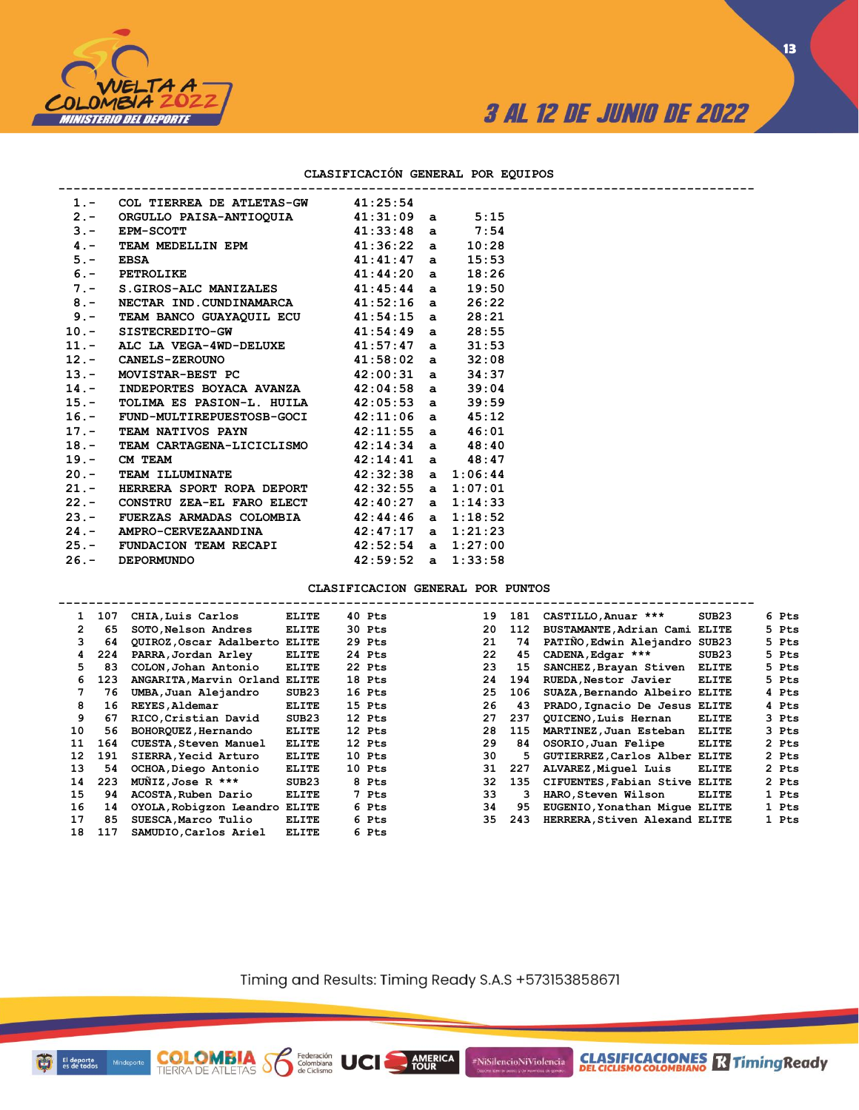

**CLASIFICACIONES** TimingReady

### **CLASIFICACIÓN GENERAL POR EQUIPOS**

| 1.- COL TIERREA DE ATLETAS-GW 41:25:54                              |                        |       |  |
|---------------------------------------------------------------------|------------------------|-------|--|
| 2.- ORGULLO PAISA-ANTIOQUIA $41:31:09$ a $5:15$                     |                        |       |  |
| 3.- EPM-SCOTT<br>4.- TEAM MEDELLIN EPM<br>41:36:22 a 10:28          |                        |       |  |
|                                                                     |                        |       |  |
|                                                                     |                        | 15:53 |  |
| 3. 122 122 222 23.<br>5. EBSA 41:41:47 a<br>6. PETROLIKE 41:44:20 a |                        | 18:26 |  |
| 7.- S.GIROS-ALC MANIZALES 41:45:44 a                                |                        | 19:50 |  |
| 8.- NECTAR IND.CUNDINAMARCA 41:52:16 a                              |                        | 26:22 |  |
| 9.- TEAM BANCO GUAYAQUIL ECU 41:54:15 a                             |                        | 28:21 |  |
| 10.- SISTECREDITO-GW 41:54:49 a                                     |                        | 28:55 |  |
| 11.- ALC LA VEGA-4WD-DELUXE $41:57:47$ a                            |                        | 31:53 |  |
| 12. - CANELS-ZEROUNO 41:58:02 a                                     |                        | 32:08 |  |
| 13.- MOVISTAR-BEST PC 42:00:31 a                                    |                        | 34:37 |  |
| 14.- INDEPORTES BOYACA AVANZA 42:04:58 a                            |                        | 39:04 |  |
| 15.- TOLIMA ES PASION-L. HUILA 42:05:53 a                           |                        | 39:59 |  |
| 16.- FUND-MULTIREPUESTOSB-GOCI $42:11:06$ a $45:12$                 |                        |       |  |
| 17.- TEAM NATIVOS PAYN 42:11:55 a 46:01                             |                        |       |  |
| 18.- TEAM CARTAGENA-LICICLISMO 42:14:34 a 48:40                     |                        |       |  |
| 19. - CM TEAM $42:14:41$ a $48:47$                                  |                        |       |  |
| 20.- TEAM ILLUMINATE $42:32:38$ a $1:06:44$                         |                        |       |  |
| 21.- HERRERA SPORT ROPA DEPORT 42:32:55 a 1:07:01                   |                        |       |  |
| 22.- CONSTRU ZEA-EL FARO ELECT 42:40:27 a 1:14:33                   |                        |       |  |
| 23.- FUERZAS ARMADAS COLOMBIA 42:44:46 a 1:18:52                    |                        |       |  |
| 24.- AMPRO-CERVEZAANDINA 42:47:17 a 1:21:23                         |                        |       |  |
| 25.- FUNDACION TEAM RECAPI 42:52:54 a 1:27:00                       |                        |       |  |
| 26. - DEPORMUNDO                                                    | $42:59:52$ a $1:33:58$ |       |  |

**COLOMBIA**<br>TIERRA DE ATLETAS **S** a Ciclismo

**CLASIFICACION GENERAL POR PUNTOS**

| $\mathbf{1}$         | 107 | CHIA, Luis Carlos             | <b>ELITE</b> | 40 Pts | 19 | 181 | CASTILLO, Anuar ***           | SUB23        | 6 Pts |
|----------------------|-----|-------------------------------|--------------|--------|----|-----|-------------------------------|--------------|-------|
| $\mathbf{2}^{\circ}$ | 65  | SOTO Nelson Andres            | <b>ELITE</b> | 30 Pts | 20 | 112 | BUSTAMANTE, Adrian Cami ELITE |              | 5 Pts |
|                      | 64  | QUIROZ, Oscar Adalberto ELITE |              | 29 Pts | 21 | 74  | PATINO, Edwin Alejandro SUB23 |              | 5 Pts |
| 4                    | 224 | PARRA, Jordan Arley           | <b>ELITE</b> | 24 Pts | 22 | 45  | CADENA, Edgar ***             | SUB23        | 5 Pts |
| 5.                   | 83  | COLON, Johan Antonio          | <b>ELITE</b> | 22 Pts | 23 | 15  | SANCHEZ, Brayan Stiven        | <b>ELITE</b> | 5 Pts |
| 6                    | 123 | ANGARITA, Marvin Orland ELITE |              | 18 Pts | 24 | 194 | RUEDA, Nestor Javier          | <b>ELITE</b> | 5 Pts |
| 7                    | 76  | UMBA, Juan Alejandro          | SUB23        | 16 Pts | 25 | 106 | SUAZA, Bernando Albeiro ELITE |              | 4 Pts |
| 8                    | 16  | REYES, Aldemar                | ELITE        | 15 Pts | 26 | 43  | PRADO, Ignacio De Jesus ELITE |              | 4 Pts |
| 9                    | 67  | RICO, Cristian David          | SUB23        | 12 Pts | 27 | 237 | OUICENO.Luis Hernan           | <b>ELITE</b> | 3 Pts |
| 10                   | 56  | BOHORQUEZ, Hernando           | ELITE        | 12 Pts | 28 | 115 | MARTINEZ, Juan Esteban        | <b>ELITE</b> | 3 Pts |
| 11                   | 164 | CUESTA, Steven Manuel         | <b>ELITE</b> | 12 Pts | 29 | 84  | OSORIO, Juan Felipe           | <b>ELITE</b> | 2 Pts |
| 12                   | 191 | SIERRA, Yecid Arturo          | <b>ELITE</b> | 10 Pts | 30 | 5   | GUTIERREZ, Carlos Alber ELITE |              | 2 Pts |
| 13                   | 54  | OCHOA, Diego Antonio          | <b>ELITE</b> | 10 Pts | 31 | 227 | ALVAREZ, Miquel Luis          | <b>ELITE</b> | 2 Pts |
| 14                   | 223 | MUNIZ, Jose R ***             | SUB23        | 8 Pts  | 32 | 135 | CIFUENTES, Fabian Stive ELITE |              | 2 Pts |
| 15                   | 94  | ACOSTA, Ruben Dario           | <b>ELITE</b> | 7 Pts  | 33 | 3   | HARO, Steven Wilson           | <b>ELITE</b> | 1 Pts |
| 16                   | 14  | OYOLA, Robigzon Leandro ELITE |              | 6 Pts  | 34 | 95  | EUGENIO, Yonathan Mique ELITE |              | 1 Pts |
| 17                   | 85  | SUESCA Marco Tulio            | <b>ELITE</b> | 6 Pts  | 35 | 243 | HERRERA, Stiven Alexand ELITE |              | 1 Pts |
| 18                   | 117 | SAMUDIO, Carlos Ariel         | <b>ELITE</b> | 6 Pts  |    |     |                               |              |       |

Timing and Results: Timing Ready S.A.S +573153858671

**AMERICA** 

UCI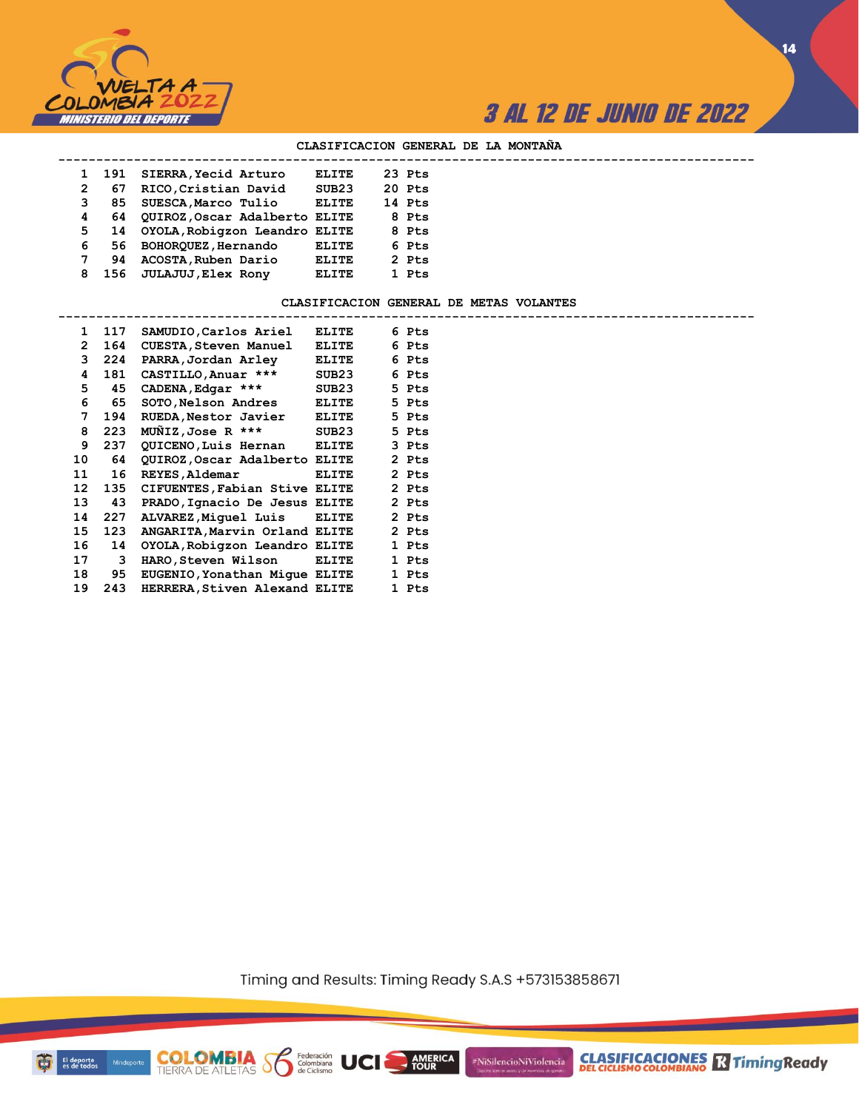

**14**

#### **CLASIFICACION GENERAL DE LA MONTAÑA**

| SIERRA, Yecid Arturo<br>23 Pts<br>ELITE<br>191<br>RICO, Cristian David<br>SUB23<br>20 Pts<br>2<br>67<br>SUESCA, Marco Tulio<br><b>ELITE</b><br>14 Pts<br>3<br>85<br>QUIROZ, Oscar Adalberto ELITE<br>8 Pts<br>4<br>64<br>14 OYOLA, Robigzon Leandro ELITE<br>5<br>8 Pts<br>BOHORQUEZ, Hernando<br>6 Pts<br>6<br><b>ELITE</b><br>56.<br>7<br>ACOSTA, Ruben Dario<br><b>ELITE</b><br>2 Pts<br>94<br>JULAJUJ, Elex Rony<br>1 Pts<br>ELITE<br>8<br>156 |  |  |  |  |
|----------------------------------------------------------------------------------------------------------------------------------------------------------------------------------------------------------------------------------------------------------------------------------------------------------------------------------------------------------------------------------------------------------------------------------------------------|--|--|--|--|
|                                                                                                                                                                                                                                                                                                                                                                                                                                                    |  |  |  |  |
|                                                                                                                                                                                                                                                                                                                                                                                                                                                    |  |  |  |  |
|                                                                                                                                                                                                                                                                                                                                                                                                                                                    |  |  |  |  |
|                                                                                                                                                                                                                                                                                                                                                                                                                                                    |  |  |  |  |
|                                                                                                                                                                                                                                                                                                                                                                                                                                                    |  |  |  |  |
|                                                                                                                                                                                                                                                                                                                                                                                                                                                    |  |  |  |  |
|                                                                                                                                                                                                                                                                                                                                                                                                                                                    |  |  |  |  |
|                                                                                                                                                                                                                                                                                                                                                                                                                                                    |  |  |  |  |

#### **CLASIFICACION GENERAL DE METAS VOLANTES**

| $\mathbf{1}$         | 117 | SAMUDIO, Carlos Ariel         | ELITE        |  | 6 Pts |
|----------------------|-----|-------------------------------|--------------|--|-------|
| $\mathbf{2}^{\circ}$ | 164 | <b>CUESTA, Steven Manuel</b>  | <b>ELITE</b> |  | 6 Pts |
| 3                    | 224 | PARRA, Jordan Arley           | <b>ELITE</b> |  | 6 Pts |
| 4                    | 181 | CASTILLO, Anuar ***           | SUB23        |  | 6 Pts |
| 5                    | 45  | CADENA, Edgar ***             | SUB23        |  | 5 Pts |
| 6                    | 65  | SOTO, Nelson Andres           | <b>ELITE</b> |  | 5 Pts |
| 7                    | 194 | RUEDA, Nestor Javier          | ELITE        |  | 5 Pts |
| 8                    | 223 | MUNIZ, Jose R ***             | SUB23        |  | 5 Pts |
| 9                    | 237 | QUICENO, Luis Hernan ELITE    |              |  | 3 Pts |
| 10                   | 64  | QUIROZ, Oscar Adalberto ELITE |              |  | 2 Pts |
| 11                   | 16  | REYES, Aldemar                | <b>ELITE</b> |  | 2 Pts |
| 12                   | 135 | CIFUENTES, Fabian Stive ELITE |              |  | 2 Pts |
| 13                   | 43  | PRADO, Ignacio De Jesus ELITE |              |  | 2 Pts |
| 14                   | 227 | ALVAREZ, Miquel Luis ELITE    |              |  | 2 Pts |
| 15                   | 123 | ANGARITA, Marvin Orland ELITE |              |  | 2 Pts |
| 16                   | 14  | OYOLA, Robigzon Leandro ELITE |              |  | 1 Pts |
| 17                   | 3   | HARO, Steven Wilson           | <b>ELITE</b> |  | 1 Pts |
| 18                   | 95  | EUGENIO, Yonathan Mique ELITE |              |  | 1 Pts |
| 19                   | 243 | HERRERA, Stiven Alexand ELITE |              |  | 1 Pts |

**COLOMBIA Seleración** UCI

Timing and Results: Timing Ready S.A.S +573153858671

AMERICA

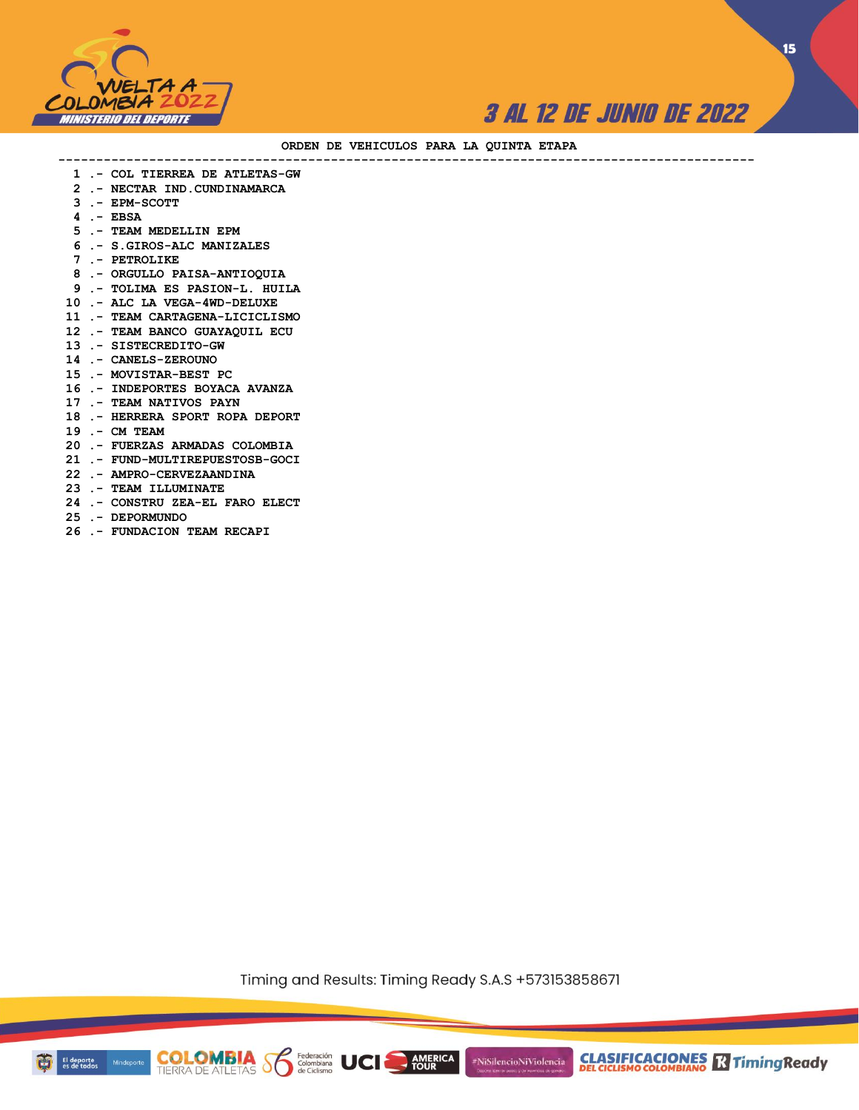



#### **ORDEN DE VEHICULOS PARA LA QUINTA ETAPA**

 **1 .- COL TIERREA DE ATLETAS-GW**

**--------------------------------------------------------------------------------------------**

- **2 .- NECTAR IND.CUNDINAMARCA**
- **3 .- EPM-SCOTT**
- **4 .- EBSA**
- **5 .- TEAM MEDELLIN EPM**
- **6 .- S.GIROS-ALC MANIZALES**
- **7 .- PETROLIKE**
- **8 .- ORGULLO PAISA-ANTIOQUIA**
- **9 .- TOLIMA ES PASION-L. HUILA**
- **10 .- ALC LA VEGA-4WD-DELUXE**
- **11 .- TEAM CARTAGENA-LICICLISMO**
- **12 .- TEAM BANCO GUAYAQUIL ECU**
- **13 .- SISTECREDITO-GW**
- **14 .- CANELS-ZEROUNO**
- **15 .- MOVISTAR-BEST PC**
- **16 .- INDEPORTES BOYACA AVANZA**
- **17 .- TEAM NATIVOS PAYN**
- **18 .- HERRERA SPORT ROPA DEPORT**
- **19 .- CM TEAM**
- **20 .- FUERZAS ARMADAS COLOMBIA**
- **21 .- FUND-MULTIREPUESTOSB-GOCI**
- **22 .- AMPRO-CERVEZAANDINA**
- **23 .- TEAM ILLUMINATE**
- **24 .- CONSTRU ZEA-EL FARO ELECT**
- **25 .- DEPORMUNDO**
- **26 .- FUNDACION TEAM RECAPI**

Timing and Results: Timing Ready S.A.S +573153858671

**AMERICA** 

#NiSilencioNiViolencia

**COLOMBIA Solutions UCI** 

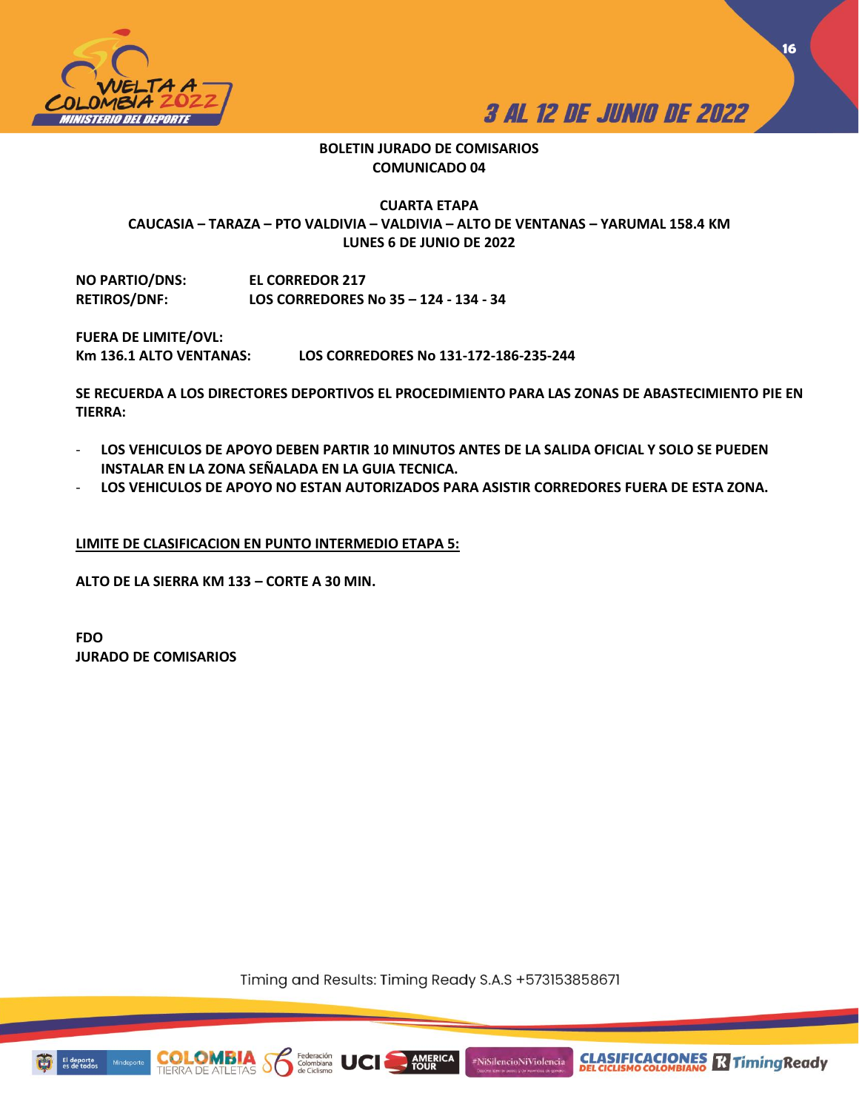



### **BOLETIN JURADO DE COMISARIOS COMUNICADO 04**

# **CUARTA ETAPA CAUCASIA – TARAZA – PTO VALDIVIA – VALDIVIA – ALTO DE VENTANAS – YARUMAL 158.4 KM LUNES 6 DE JUNIO DE 2022**

**NO PARTIO/DNS: EL CORREDOR 217 RETIROS/DNF: LOS CORREDORES No 35 – 124 - 134 - 34**

**FUERA DE LIMITE/OVL:**

**Km 136.1 ALTO VENTANAS: LOS CORREDORES No 131-172-186-235-244** 

**SE RECUERDA A LOS DIRECTORES DEPORTIVOS EL PROCEDIMIENTO PARA LAS ZONAS DE ABASTECIMIENTO PIE EN TIERRA:** 

- **LOS VEHICULOS DE APOYO DEBEN PARTIR 10 MINUTOS ANTES DE LA SALIDA OFICIAL Y SOLO SE PUEDEN INSTALAR EN LA ZONA SEÑALADA EN LA GUIA TECNICA.**
- **LOS VEHICULOS DE APOYO NO ESTAN AUTORIZADOS PARA ASISTIR CORREDORES FUERA DE ESTA ZONA.**

### **LIMITE DE CLASIFICACION EN PUNTO INTERMEDIO ETAPA 5:**

**ALTO DE LA SIERRA KM 133 – CORTE A 30 MIN.** 

**FDO JURADO DE COMISARIOS**

Timing and Results: Timing Ready S.A.S +573153858671

**AMERICA**<br>TOUR

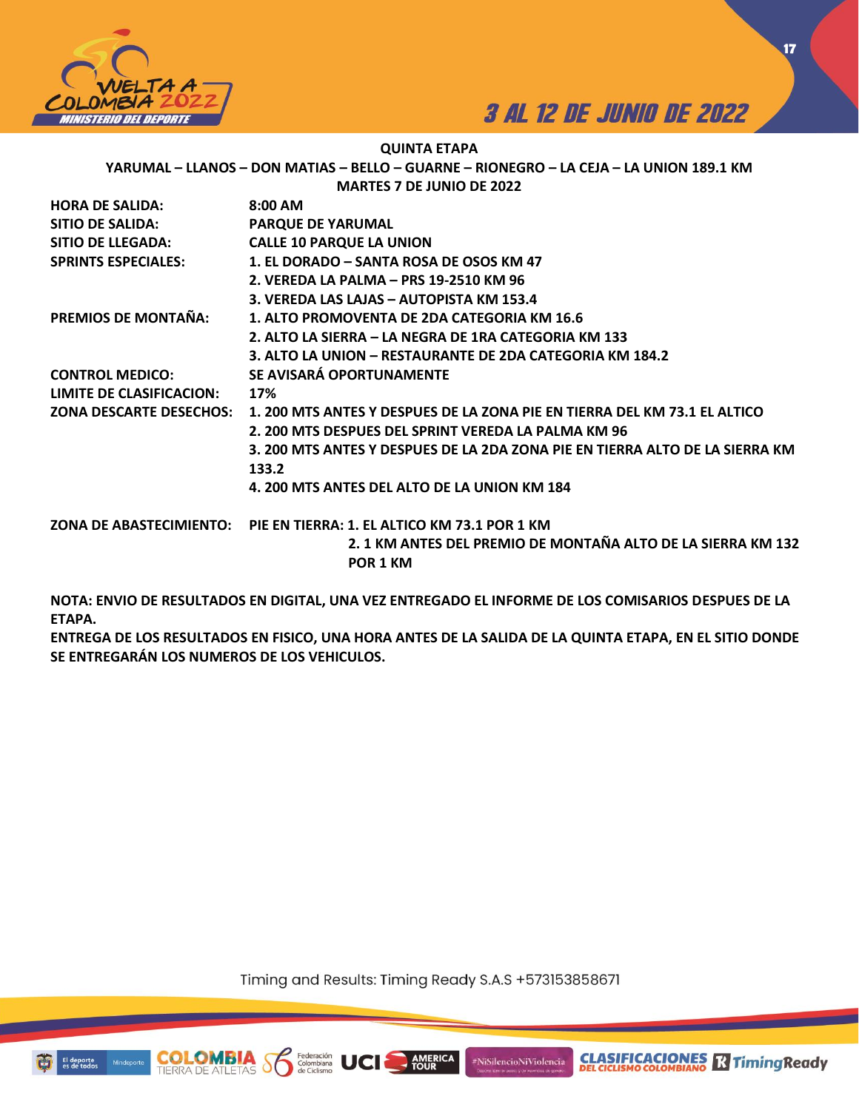



### **QUINTA ETAPA**

**YARUMAL – LLANOS – DON MATIAS – BELLO – GUARNE – RIONEGRO – LA CEJA – LA UNION 189.1 KM**

|  | <b>MARTES 7 DE JUNIO DE 2022</b> |  |
|--|----------------------------------|--|
|  |                                  |  |

| <b>HORA DE SALIDA:</b>         | 8:00 AM                                                                      |
|--------------------------------|------------------------------------------------------------------------------|
| SITIO DE SALIDA:               | <b>PARQUE DE YARUMAL</b>                                                     |
| SITIO DE LLEGADA:              | <b>CALLE 10 PARQUE LA UNION</b>                                              |
| <b>SPRINTS ESPECIALES:</b>     | 1. EL DORADO – SANTA ROSA DE OSOS KM 47                                      |
|                                | 2. VEREDA LA PALMA – PRS 19-2510 KM 96                                       |
|                                | 3. VEREDA LAS LAJAS - AUTOPISTA KM 153.4                                     |
| <b>PREMIOS DE MONTAÑA:</b>     | 1. ALTO PROMOVENTA DE 2DA CATEGORIA KM 16.6                                  |
|                                | 2. ALTO LA SIERRA – LA NEGRA DE 1RA CATEGORIA KM 133                         |
|                                | 3. ALTO LA UNION – RESTAURANTE DE 2DA CATEGORIA KM 184.2                     |
| <b>CONTROL MEDICO:</b>         | SE AVISARÁ OPORTUNAMENTE                                                     |
| LIMITE DE CLASIFICACION:       | 17%                                                                          |
| <b>ZONA DESCARTE DESECHOS:</b> | 1. 200 MTS ANTES Y DESPUES DE LA ZONA PIE EN TIERRA DEL KM 73.1 EL ALTICO    |
|                                | 2. 200 MTS DESPUES DEL SPRINT VEREDA LA PALMA KM 96                          |
|                                | 3. 200 MTS ANTES Y DESPUES DE LA 2DA ZONA PIE EN TIERRA ALTO DE LA SIERRA KM |
|                                | 133.2                                                                        |
|                                | 4. 200 MTS ANTES DEL ALTO DE LA UNION KM 184                                 |
|                                | ZONA DE ABASTECIMIENTO: PIE EN TIERRA: 1. EL ALTICO KM 73.1 POR 1 KM         |
|                                | 2. 1 KM ANTES DEL PREMIO DE MONTAÑA ALTO DE LA SIERRA KM 132<br>POR 1 KM     |
|                                |                                                                              |

**NOTA: ENVIO DE RESULTADOS EN DIGITAL, UNA VEZ ENTREGADO EL INFORME DE LOS COMISARIOS DESPUES DE LA ETAPA.** 

**ENTREGA DE LOS RESULTADOS EN FISICO, UNA HORA ANTES DE LA SALIDA DE LA QUINTA ETAPA, EN EL SITIO DONDE SE ENTREGARÁN LOS NUMEROS DE LOS VEHICULOS.** 

Timing and Results: Timing Ready S.A.S +573153858671

AMERICA

#NiSilencioNiViolencia

Federación<br>Colombiana



COI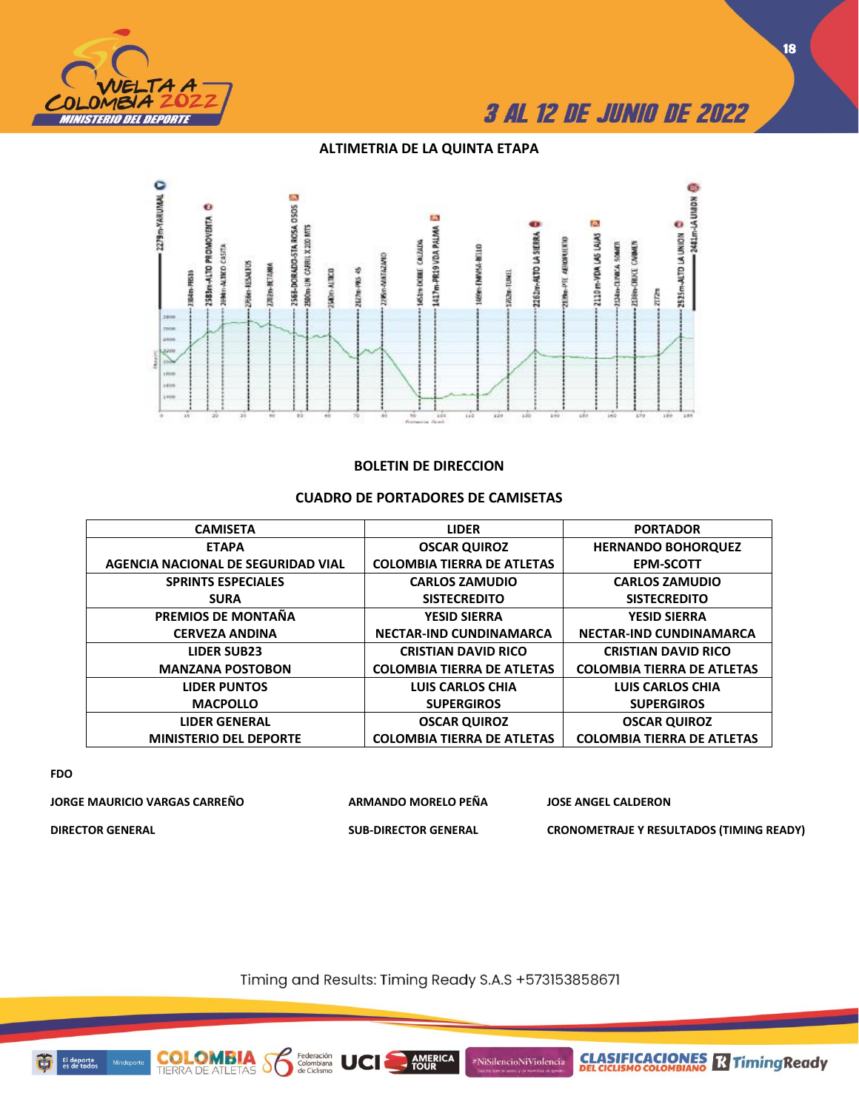

### **ALTIMETRIA DE LA QUINTA ETAPA**



### **BOLETIN DE DIRECCION**

#### **CAMISETA LIDER PORTADOR ETAPA AGENCIA NACIONAL DE SEGURIDAD VIAL OSCAR QUIROZ COLOMBIA TIERRA DE ATLETAS HERNANDO BOHORQUEZ EPM-SCOTT SPRINTS ESPECIALES SURA CARLOS ZAMUDIO SISTECREDITO CARLOS ZAMUDIO SISTECREDITO PREMIOS DE MONTAÑA CERVEZA ANDINA YESID SIERRA NECTAR-IND CUNDINAMARCA YESID SIERRA NECTAR-IND CUNDINAMARCA LIDER SUB23 MANZANA POSTOBON CRISTIAN DAVID RICO COLOMBIA TIERRA DE ATLETAS CRISTIAN DAVID RICO COLOMBIA TIERRA DE ATLETAS LIDER PUNTOS MACPOLLO LUIS CARLOS CHIA SUPERGIROS LUIS CARLOS CHIA SUPERGIROS LIDER GENERAL MINISTERIO DEL DEPORTE OSCAR QUIROZ COLOMBIA TIERRA DE ATLETAS OSCAR QUIROZ COLOMBIA TIERRA DE ATLETAS**

### **CUADRO DE PORTADORES DE CAMISETAS**

**FDO**

**JORGE MAURICIO VARGAS CARREÑO ARMANDO MORELO PEÑA JOSE ANGEL CALDERON DIRECTOR GENERAL SUB-DIRECTOR GENERAL CRONOMETRAJE Y RESULTADOS (TIMING READY)**

**COLOMBIA**<br>TIERRA DE ATLETAS

**CLASIFICACIONES M**Timing Ready

Timing and Results: Timing Ready S.A.S +573153858671

**AMERICA** 

#NiSilencioNiViolencia

Federación<br>Colombiana<br>de Ciclismo

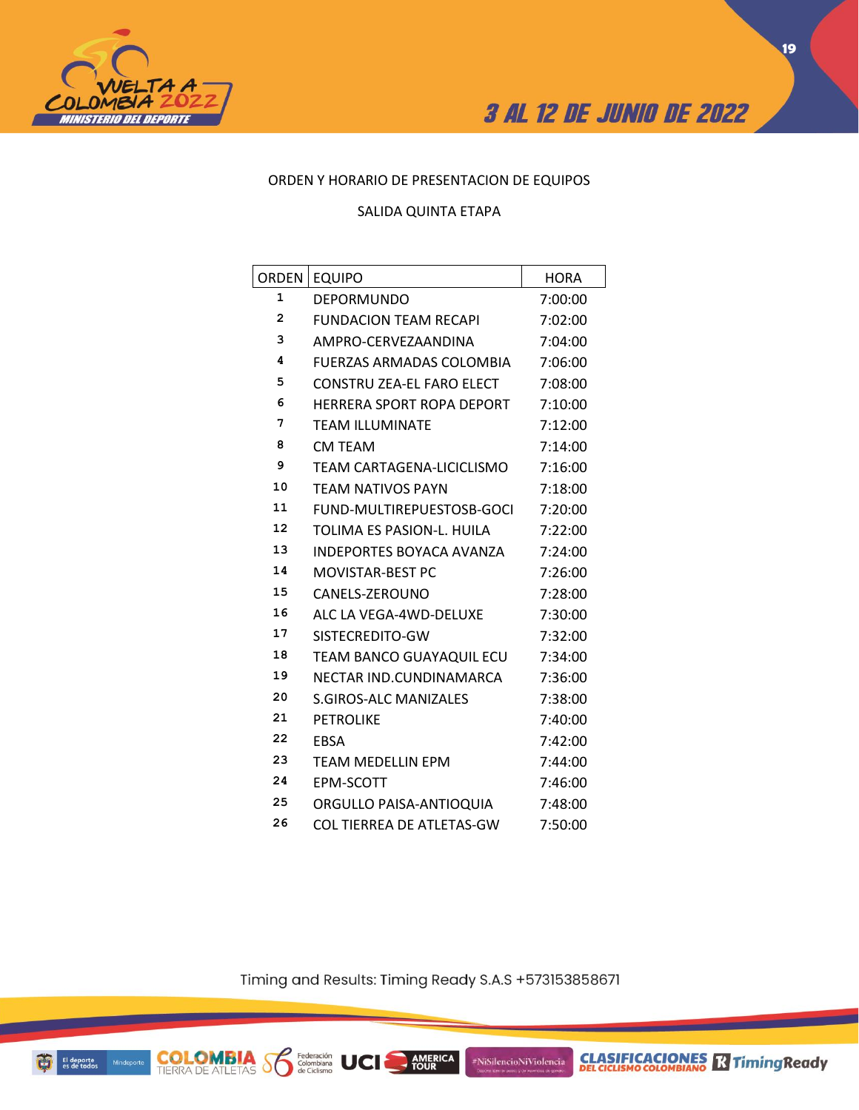



## ORDEN Y HORARIO DE PRESENTACION DE EQUIPOS

### SALIDA QUINTA ETAPA

| ORDEN        | <b>EQUIPO</b>                | <b>HORA</b> |
|--------------|------------------------------|-------------|
| 1            | <b>DEPORMUNDO</b>            | 7:00:00     |
| $\mathbf{2}$ | <b>FUNDACION TEAM RECAPI</b> | 7:02:00     |
| 3            | AMPRO-CERVEZAANDINA          | 7:04:00     |
| 4            | FUERZAS ARMADAS COLOMBIA     | 7:06:00     |
| 5            | CONSTRU ZEA-EL FARO ELECT    | 7:08:00     |
| 6            | HERRERA SPORT ROPA DEPORT    | 7:10:00     |
| 7            | <b>TEAM ILLUMINATE</b>       | 7:12:00     |
| 8            | CM TEAM                      | 7:14:00     |
| 9            | TEAM CARTAGENA-LICICLISMO    | 7:16:00     |
| 10           | <b>TEAM NATIVOS PAYN</b>     | 7:18:00     |
| 11           | FUND-MULTIREPUESTOSB-GOCI    | 7:20:00     |
| 12           | TOLIMA ES PASION-L. HUILA    | 7:22:00     |
| 13           | INDEPORTES BOYACA AVANZA     | 7:24:00     |
| 14           | <b>MOVISTAR-BEST PC</b>      | 7:26:00     |
| 15           | CANELS-ZEROUNO               | 7:28:00     |
| 16           | ALC LA VEGA-4WD-DELUXE       | 7:30:00     |
| 17           | SISTECREDITO-GW              | 7:32:00     |
| 18           | TEAM BANCO GUAYAQUIL ECU     | 7:34:00     |
| 19           | NECTAR IND.CUNDINAMARCA      | 7:36:00     |
| 20           | <b>S.GIROS-ALC MANIZALES</b> | 7:38:00     |
| 21           | <b>PETROLIKE</b>             | 7:40:00     |
| 22           | <b>EBSA</b>                  | 7:42:00     |
| 23           | <b>TEAM MEDELLIN EPM</b>     | 7:44:00     |
| 24           | EPM-SCOTT                    | 7:46:00     |
| 25           | ORGULLO PAISA-ANTIOQUIA      | 7:48:00     |
| 26           | COL TIERREA DE ATLETAS-GW    | 7:50:00     |

Timing and Results: Timing Ready S.A.S +573153858671

AMERICA

#NiSilencioNiViolencia

Federación<br>Colombiana<br>de Ciclismo

**UCI** 

**COLOMBIA S** 

**CLASIFICACIONES Relationship Ready**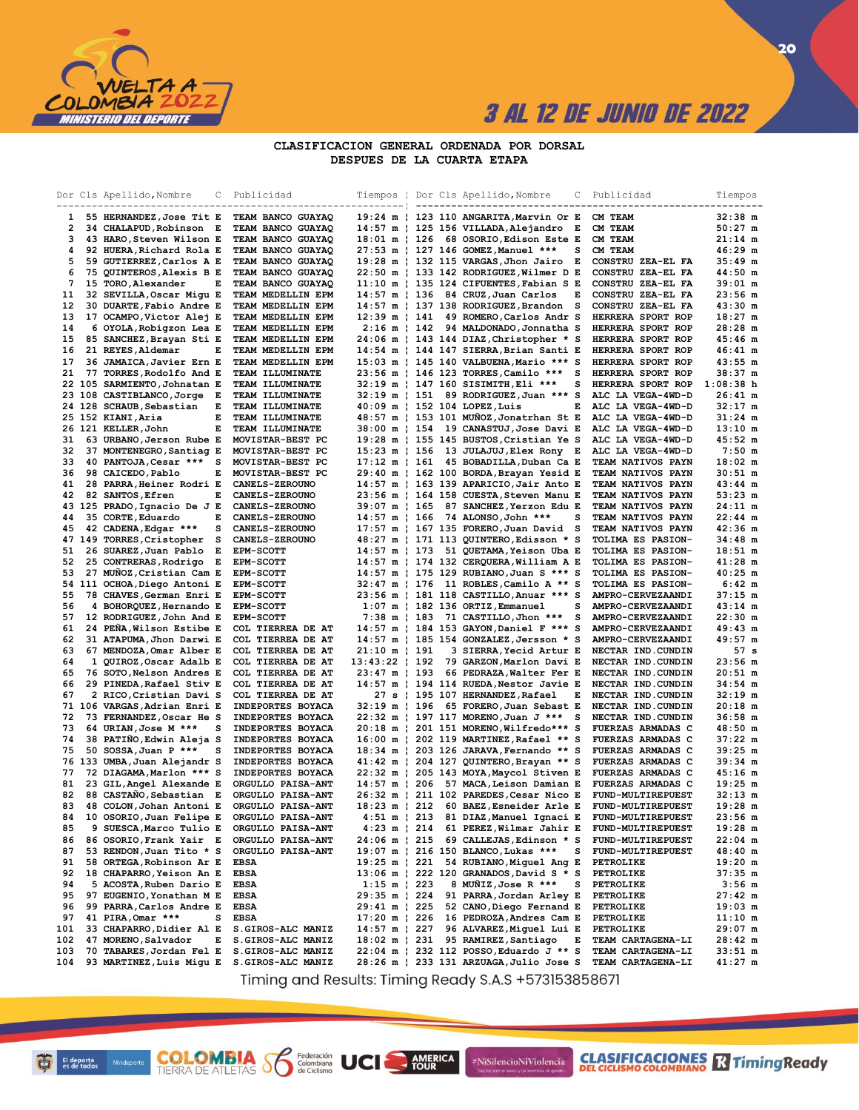

### **CLASIFICACION GENERAL ORDENADA POR DORSAL DESPUES DE LA CUARTA ETAPA**

|                | Dor Cls Apellido, Nombre                                 | С<br>----- | Publicidad                                    | Tiempos ¦                                          |  | Dor Cls Apellido, Nombre<br>----------------------                                 | С | Publicidad<br>------------                    | Tiempos                               |
|----------------|----------------------------------------------------------|------------|-----------------------------------------------|----------------------------------------------------|--|------------------------------------------------------------------------------------|---|-----------------------------------------------|---------------------------------------|
|                | 55 HERNANDEZ, Jose Tit E                                 |            | TEAM BANCO GUAYAO                             | 19:24 m                                            |  | 123 110 ANGARITA, Marvin Or E                                                      |   | CM TEAM                                       | 32:38 m                               |
| $\overline{2}$ | 34 CHALAPUD, Robinson E                                  |            | TEAM BANCO GUAYAQ                             |                                                    |  | 14:57 m   125 156 VILLADA, Alejandro E                                             |   | CM TEAM                                       | $50:27$ m                             |
| з              | 43 HARO, Steven Wilson E                                 |            | TEAM BANCO GUAYAQ                             |                                                    |  | 18:01 m   126 68 OSORIO, Edison Este E                                             |   | CM TEAM                                       | $21:14$ m                             |
| 4              | 92 HUERA, Richard Rola E                                 |            | TEAM BANCO GUAYAQ                             |                                                    |  | 27:53 m   127 146 GOMEZ,Manuel ***                                                 | s | CM TEAM                                       | $46:29$ m                             |
| 5              | 59 GUTIERREZ, Carlos A E                                 |            | TEAM BANCO GUAYAQ                             |                                                    |  | 19:28 m   132 115 VARGAS, Jhon Jairo                                               | Е | CONSTRU ZEA-EL FA                             | $35:49$ m                             |
| 6<br>7         | 75 QUINTEROS, Alexis B E<br>15 TORO, Alexander           | Е          | TEAM BANCO GUAYAQ<br><b>TEAM BANCO GUAYAQ</b> |                                                    |  | 22:50 m   133 142 RODRIGUEZ, Wilmer D E<br>11:10 m   135 124 CIFUENTES, Fabian S E |   | CONSTRU ZEA-EL FA<br>CONSTRU ZEA-EL FA        | $44:50$ m<br>$39:01 \text{ m}$        |
| 11             | 32 SEVILLA, Oscar Migu E                                 |            | TEAM MEDELLIN EPM                             |                                                    |  | $14:57 \text{ m}$   136 84 CRUZ, Juan Carlos                                       | Е | CONSTRU ZEA-EL FA                             | 23:56 m                               |
| 12             | 30 DUARTE, Fabio Andre E                                 |            | TEAM MEDELLIN EPM                             |                                                    |  | 14:57 m   137 138 RODRIGUEZ, Brandon                                               | s | CONSTRU ZEA-EL FA                             | 43:30 m                               |
| 13             | 17 OCAMPO, Victor Alej E                                 |            | TEAM MEDELLIN EPM                             | $12:39 \text{ m }   141$                           |  | 49 ROMERO, Carlos Andr S                                                           |   | HERRERA SPORT ROP                             | $18:27$ m                             |
| 14             | 6 OYOLA, Robigzon Lea E                                  |            | TEAM MEDELLIN EPM                             |                                                    |  | 2:16 m   142 94 MALDONADO, Jonnatha S                                              |   | HERRERA SPORT ROP                             | $28:28$ m                             |
| 15             | 85 SANCHEZ, Brayan Sti E                                 |            | TEAM MEDELLIN EPM                             |                                                    |  | 24:06 m   143 144 DIAZ, Christopher * S                                            |   | HERRERA SPORT ROP                             | $45:46$ m                             |
| 16<br>17       | 21 REYES, Aldemar                                        | Е          | TEAM MEDELLIN EPM                             |                                                    |  | 14:54 m   144 147 SIERRA, Brian Santi E<br>15:03 m   145 140 VALBUENA, Mario *** S |   | HERRERA SPORT ROP<br>HERRERA SPORT ROP        | $46:41 \text{ m}$                     |
| 21             | 36 JAMAICA, Javier Ern E<br>77 TORRES, Rodolfo And E     |            | TEAM MEDELLIN EPM<br><b>TEAM ILLUMINATE</b>   |                                                    |  | 23:56 m   146 123 TORRES, Camilo ***                                               | s | HERRERA SPORT ROP                             | 43:55 m<br>$38:37 \; m$               |
|                | 22 105 SARMIENTO, Johnatan E                             |            | TEAM ILLUMINATE                               |                                                    |  | 32:19 m   147 160 SISIMITH, Eli ***                                                | s | HERRERA SPORT ROP                             | $1:08:38$ h                           |
|                | 23 108 CASTIBLANCO, Jorge                                | Е          | <b>TEAM ILLUMINATE</b>                        |                                                    |  | 32:19 m   151 89 RODRIGUEZ, Juan *** S                                             |   | ALC LA VEGA-4WD-D                             | $26:41 \text{ m}$                     |
|                | 24 128 SCHAUB, Sebastian                                 | Е          | TEAM ILLUMINATE                               |                                                    |  | 40:09 m   152 104 LOPEZ, Luis                                                      | Е | ALC LA VEGA-4WD-D                             | $32:17$ m                             |
|                | 25 152 KIANI,Aria                                        | Е          | TEAM ILLUMINATE                               |                                                    |  | 48:57 m   153 101 MUNOZ, Jonatrhan St E                                            |   | ALC LA VEGA-4WD-D                             | $31:24$ m                             |
|                | 26 121 KELLER, John                                      | Е          | TEAM ILLUMINATE                               | $38:00 \text{ m}$   154                            |  | 19 CANASTUJ, Jose Davi E                                                           |   | ALC LA VEGA-4WD-D                             | $13:10$ m                             |
| 31             | 63 URBANO, Jerson Rube E                                 |            | MOVISTAR-BEST PC                              |                                                    |  | 19:28 m   155 145 BUSTOS, Cristian Ye S                                            |   | ALC LA VEGA-4WD-D                             | $45:52 \; m$                          |
| 32<br>33       | 37 MONTENEGRO, Santiag E<br>40 PANTOJA, Cesar ***        | s          | MOVISTAR-BEST PC<br>MOVISTAR-BEST PC          | $15:23 \text{ m}$   156<br>$17:12 \text{ m}$   161 |  | 13 JULAJUJ, Elex Rony E<br>45 BOBADILLA, Duban Ca E                                |   | ALC LA VEGA-4WD-D<br><b>TEAM NATIVOS PAYN</b> | $7:50 \text{ m}$<br>$18:02 \text{ m}$ |
| 36             | 98 CAICEDO, Pablo                                        | Е          | MOVISTAR-BEST PC                              |                                                    |  | 29:40 m   162 100 BORDA, Brayan Yesid E                                            |   | <b>TEAM NATIVOS PAYN</b>                      | $30:51 \; m$                          |
| 41             | 28 PARRA, Heiner Rodri E                                 |            | <b>CANELS-ZEROUNO</b>                         |                                                    |  | 14:57 m   163 139 APARICIO, Jair Anto E                                            |   | <b>TEAM NATIVOS PAYN</b>                      | 43:44 m                               |
| 42             | 82 SANTOS, Efren                                         | Е          | <b>CANELS-ZEROUNO</b>                         |                                                    |  | 23:56 m   164 158 CUESTA, Steven Manu E                                            |   | <b>TEAM NATIVOS PAYN</b>                      | 53:23 m                               |
|                | 43 125 PRADO, Ignacio De J E                             |            | <b>CANELS-ZEROUNO</b>                         | $39:07 \text{ m}$   165                            |  | 87 SANCHEZ, Yerzon Edu E                                                           |   | <b>TEAM NATIVOS PAYN</b>                      | $24:11 \text{ m}$                     |
| 44             | 35 CORTE, Eduardo                                        | Е          | <b>CANELS-ZEROUNO</b>                         | $14:57 \text{ m}$   166                            |  | 74 ALONSO, John ***                                                                | s | <b>TEAM NATIVOS PAYN</b>                      | $22:44 \; m$                          |
| 45             | 42 CADENA, Edgar ***                                     | s          | <b>CANELS-ZEROUNO</b>                         |                                                    |  | 17:57 m   167 135 FORERO, Juan David                                               | s | <b>TEAM NATIVOS PAYN</b>                      | $42:36$ m                             |
| 51             | 47 149 TORRES, Cristopher<br>26 SUAREZ,Juan Pablo        | s<br>Е     | <b>CANELS-ZEROUNO</b><br><b>EPM-SCOTT</b>     |                                                    |  | 48:27 m   171 113 QUINTERO, Edisson * S<br>14:57 m   173 51 QUETAMA, Yeison Uba E  |   | TOLIMA ES PASION-<br><b>TOLIMA ES PASION-</b> | $34:48$ m<br>$18:51 \text{ m}$        |
| 52             | 25 CONTRERAS, Rodrigo                                    | Е          | <b>EPM-SCOTT</b>                              |                                                    |  | 14:57 m   174 132 CERQUERA, William A E                                            |   | <b>TOLIMA ES PASION-</b>                      | $41:28$ m                             |
| 53             | 27 MUÑOZ, Cristian Cam E                                 |            | <b>EPM-SCOTT</b>                              |                                                    |  | 14:57 m   175 129 RUBIANO, Juan S *** S                                            |   | TOLIMA ES PASION-                             | $40:25$ m                             |
|                | 54 111 OCHOA, Diego Antoni E                             |            | <b>EPM-SCOTT</b>                              |                                                    |  | 32:47 m   176 11 ROBLES, Camilo A ** S                                             |   | <b>TOLIMA ES PASION-</b>                      | $6:42 \; m$                           |
| 55             | 78 CHAVES, German Enri E                                 |            | <b>EPM-SCOTT</b>                              |                                                    |  | 23:56 m   181 118 CASTILLO, Anuar *** S                                            |   | AMPRO-CERVEZAANDI                             | $37:15$ m                             |
| 56             | 4 BOHORQUEZ, Hernando E                                  |            | <b>EPM-SCOTT</b>                              |                                                    |  | $1:07$ m   182 136 ORTIZ, Emmanuel                                                 | s | AMPRO-CERVEZAANDI                             | $43:14$ m                             |
| 57             | 12 RODRIGUEZ, John And E                                 |            | <b>EPM-SCOTT</b>                              |                                                    |  | 7:38 m   183 71 CASTILLO, Jhon ***                                                 | s | AMPRO-CERVEZAANDI                             | $22:30$ m                             |
| 61<br>62       | 24 PEÑA, Wilson Estibe E<br>31 ATAPUMA, Jhon Darwi E     |            | COL TIERREA DE AT<br>COL TIERREA DE AT        |                                                    |  | 14:57 m   184 153 GAYON, Daniel F *** S<br>14:57 m   185 154 GONZALEZ, Jersson * S |   | AMPRO-CERVEZAANDI<br>AMPRO-CERVEZAANDI        | 49:43 m<br>$49:57$ m                  |
| 63             | 67 MENDOZA, Omar Alber E                                 |            | COL TIERREA DE AT                             | 21:10 m   191                                      |  | 3 SIERRA, Yecid Artur E                                                            |   | NECTAR IND.CUNDIN                             | 57s                                   |
| 64             | 1 QUIROZ, Oscar Adalb E                                  |            | COL TIERREA DE AT                             | $13:43:22$   192                                   |  | 79 GARZON, Marlon Davi E                                                           |   | NECTAR IND.CUNDIN                             | $23:56$ m                             |
| 65             | 76 SOTO, Nelson Andres E                                 |            | COL TIERREA DE AT                             | 23:47 m   193                                      |  | 66 PEDRAZA, Walter Fer E                                                           |   | NECTAR IND.CUNDIN                             | $20:51 \text{ m}$                     |
| 66             | 29 PINEDA, Rafael Stiv E                                 |            | COL TIERREA DE AT                             |                                                    |  | 14:57 m   194 114 RUEDA, Nestor Javie E                                            |   | NECTAR IND.CUNDIN                             | $34:54 \text{ m}$                     |
| 67             | 2 RICO, Cristian Davi S                                  |            | COL TIERREA DE AT                             |                                                    |  | 27 s   195 107 HERNANDEZ, Rafael                                                   | Е | NECTAR IND.CUNDIN                             | $32:19$ m                             |
| 72             | 71 106 VARGAS, Adrian Enri E<br>73 FERNANDEZ, Oscar He S |            | INDEPORTES BOYACA<br>INDEPORTES BOYACA        |                                                    |  | 32:19 m   196 65 FORERO, Juan Sebast E<br>22:32 m   197 117 MORENO, Juan J ***     | s | NECTAR IND.CUNDIN<br>NECTAR IND.CUNDIN        | $20:18$ m<br>$36:58$ m                |
| 73             | 64 URIAN, Jose M ***                                     | s          | INDEPORTES BOYACA                             |                                                    |  | 20:18 m   201 151 MORENO, Wilfredo*** S                                            |   | <b>FUERZAS ARMADAS C</b>                      | $48:50$ m                             |
| 74             | 38 PATIÑO, Edwin Aleja S                                 |            | INDEPORTES BOYACA                             |                                                    |  | 16:00 m   202 119 MARTINEZ, Rafael ** S                                            |   | <b>FUERZAS ARMADAS C</b>                      | $37:22 \text{ m}$                     |
| 75             | 50 SOSSA, Juan P ***                                     | s          | INDEPORTES BOYACA                             |                                                    |  | 18:34 m   203 126 JARAVA, Fernando ** S                                            |   | FUERZAS ARMADAS C                             | 39:25 m                               |
|                | 76 133 UMBA, Juan Alejandr S                             |            | INDEPORTES BOYACA                             |                                                    |  | 41:42 m   204 127 QUINTERO, Brayan ** S                                            |   | FUERZAS ARMADAS C                             | $39:34 \text{ m}$                     |
| 77             | 72 DIAGAMA, Marlon *** S                                 |            | INDEPORTES BOYACA                             |                                                    |  | 22:32 m   205 143 MOYA, Maycol Stiven E                                            |   | <b>FUERZAS ARMADAS C</b>                      | $45:16$ m                             |
| 81<br>82       | 23 GIL, Angel Alexande E                                 |            | ORGULLO PAISA-ANT                             |                                                    |  | 14:57 m   206 57 MACA, Leison Damian E                                             |   | <b>FUERZAS ARMADAS C</b><br>FUND-MULTIREPUEST | $19:25$ m<br>32:13 m                  |
| 83             | 88 CASTANO, Sebastian E<br>48 COLON, Johan Antoni E      |            | <b>ORGULLO PAISA-ANT</b><br>ORGULLO PAISA-ANT |                                                    |  | 26:32 m   211 102 PAREDES, Cesar Nico E<br>18:23 m   212 60 BAEZ, Esneider Arle E  |   | FUND-MULTIREPUEST                             | $19:28$ m                             |
| 84             | 10 OSORIO, Juan Felipe E                                 |            | ORGULLO PAISA-ANT                             |                                                    |  | 4:51 m   213 81 DIAZ, Manuel Ignaci E                                              |   | FUND-MULTIREPUEST                             | $23:56$ m                             |
| 85             | 9 SUESCA, Marco Tulio E                                  |            | ORGULLO PAISA-ANT                             |                                                    |  | 4:23 m   214 61 PEREZ, Wilmar Jahir E                                              |   | <b>FUND-MULTIREPUEST</b>                      | $19:28$ m                             |
| 86             | 86 OSORIO, Frank Yair E                                  |            | ORGULLO PAISA-ANT                             | 24:06 m   215                                      |  | 69 CALLEJAS, Edinson * S                                                           |   | <b>FUND-MULTIREPUEST</b>                      | $22:04 \text{ m}$                     |
| 87             | 53 RENDON, Juan Tito * S                                 |            | ORGULLO PAISA-ANT                             |                                                    |  | 19:07 m   216 150 BLANCO, Lukas ***                                                | s | FUND-MULTIREPUEST                             | 48:40 m                               |
| 91             | 58 ORTEGA, Robinson Ar E                                 |            | <b>EBSA</b>                                   | 19:25 m   221                                      |  | 54 RUBIANO, Miguel Ang E                                                           |   | PETROLIKE                                     | $19:20$ m                             |
| 92<br>94       | 18 CHAPARRO, Yeison An E<br>5 ACOSTA, Ruben Dario E      |            | <b>EBSA</b><br><b>EBSA</b>                    | $1:15 \text{ m}$   223                             |  | 13:06 m   222 120 GRANADOS, David S * S<br>8 MUÑIZ, Jose R ***                     | s | PETROLIKE<br>PETROLIKE                        | 37:35 m<br>$3:56$ m                   |
| 95             | 97 EUGENIO, Yonathan M E                                 |            | <b>EBSA</b>                                   | 29:35 m   224                                      |  | 91 PARRA, Jordan Arley E                                                           |   | PETROLIKE                                     | 27:42 m                               |
| 96             | 99 PARRA, Carlos Andre E                                 |            | <b>EBSA</b>                                   | 29:41 m   225                                      |  | 52 CANO, Diego Fernand E                                                           |   | PETROLIKE                                     | 19:03 m                               |
| 97             | 41 PIRA, Omar ***                                        | s          | <b>EBSA</b>                                   | $17:20 \text{ m}$   226                            |  | 16 PEDROZA, Andres Cam E                                                           |   | PETROLIKE                                     | $11:10 \text{ m}$                     |
| 101            | 33 CHAPARRO, Didier Al E                                 |            | S.GIROS-ALC MANIZ                             | $14:57 \text{ m}$   227                            |  | 96 ALVAREZ, Miguel Lui E                                                           |   | PETROLIKE                                     | 29:07 m                               |
| 102            | 47 MORENO, Salvador                                      | Е          | S.GIROS-ALC MANIZ                             | $18:02 \text{ m}$   231                            |  | 95 RAMIREZ, Santiago                                                               | Е | TEAM CARTAGENA-LI                             | 28:42 m                               |
| 103<br>104     | 70 TABARES, Jordan Fel E<br>93 MARTINEZ, Luis Migu E     |            | S.GIROS-ALC MANIZ<br>S.GIROS-ALC MANIZ        |                                                    |  | 22:04 m   232 112 POSSO, Eduardo J ** S<br>28:26 m   233 131 ARZUAGA, Julio Jose S |   | TEAM CARTAGENA-LI<br>TEAM CARTAGENA-LI        | $33:51 \; m$<br>$41:27$ m             |
|                |                                                          |            |                                               |                                                    |  |                                                                                    |   |                                               |                                       |

Timing and Results: Timing Ready S.A.S +573153858671

AMERICA

**UCI** 

#NiSilencioNiViolencia

**COLOMBIA** Solenbiana<br>TIERRA DE ATLETAS SOLENDO de Ciclismo